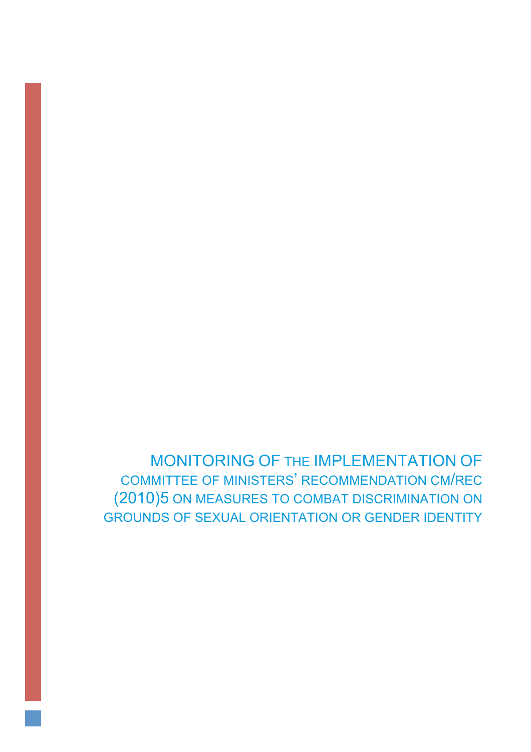MONITORING OF THE IMPLEMENTATION OF COMMITTEE OF MINISTERS' RECOMMENDATION CM/REC (2010)5 ON MEASURES TO COMBAT DISCRIMINATION ON GROUNDS OF SEXUAL ORIENTATION OR GENDER IDENTITY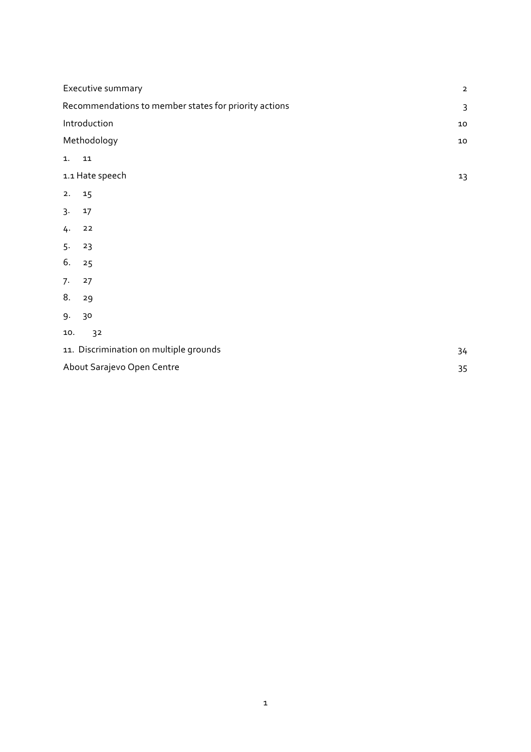| Executive summary                                     | $\mathbf{2}$   |
|-------------------------------------------------------|----------------|
| Recommendations to member states for priority actions | $\overline{3}$ |
| Introduction                                          | $10\,$         |
| Methodology                                           | ${\bf 10}$     |
| 1.<br>${\bf 11}$                                      |                |
| 1.1 Hate speech                                       | 13             |
| 2.<br>15                                              |                |
| $3 -$<br>17                                           |                |
| 4.<br>22                                              |                |
| 5.<br>23                                              |                |
| 6.<br>25                                              |                |
| 7.<br>27                                              |                |
| 8.<br>29                                              |                |
| 9.<br>30                                              |                |
| 3 <sup>2</sup><br>10.                                 |                |
| 11. Discrimination on multiple grounds                | 34             |
| About Sarajevo Open Centre                            | 35             |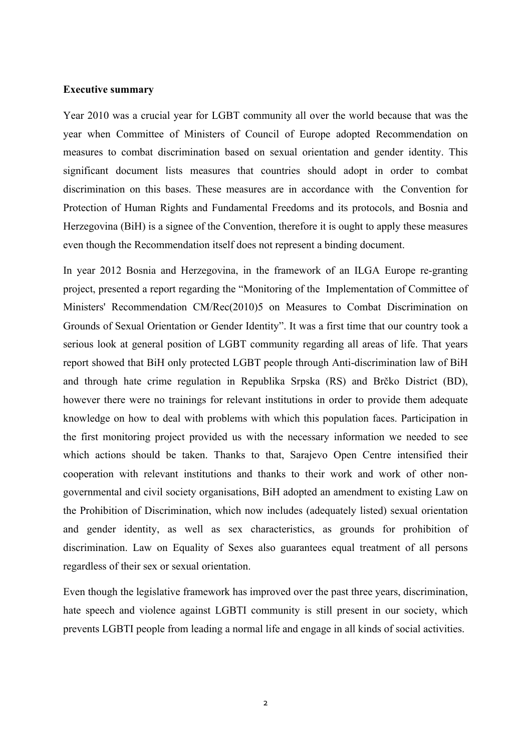### **Executive summary**

Year 2010 was a crucial year for LGBT community all over the world because that was the year when Committee of Ministers of Council of Europe adopted Recommendation on measures to combat discrimination based on sexual orientation and gender identity. This significant document lists measures that countries should adopt in order to combat discrimination on this bases. These measures are in accordance with the Convention for Protection of Human Rights and Fundamental Freedoms and its protocols, and Bosnia and Herzegovina (BiH) is a signee of the Convention, therefore it is ought to apply these measures even though the Recommendation itself does not represent a binding document.

In year 2012 Bosnia and Herzegovina, in the framework of an ILGA Europe re-granting project, presented a report regarding the "Monitoring of the Implementation of Committee of Ministers' Recommendation CM/Rec(2010)5 on Measures to Combat Discrimination on Grounds of Sexual Orientation or Gender Identity". It was a first time that our country took a serious look at general position of LGBT community regarding all areas of life. That years report showed that BiH only protected LGBT people through Anti-discrimination law of BiH and through hate crime regulation in Republika Srpska (RS) and Brčko District (BD), however there were no trainings for relevant institutions in order to provide them adequate knowledge on how to deal with problems with which this population faces. Participation in the first monitoring project provided us with the necessary information we needed to see which actions should be taken. Thanks to that, Sarajevo Open Centre intensified their cooperation with relevant institutions and thanks to their work and work of other nongovernmental and civil society organisations, BiH adopted an amendment to existing Law on the Prohibition of Discrimination, which now includes (adequately listed) sexual orientation and gender identity, as well as sex characteristics, as grounds for prohibition of discrimination. Law on Equality of Sexes also guarantees equal treatment of all persons regardless of their sex or sexual orientation.

Even though the legislative framework has improved over the past three years, discrimination, hate speech and violence against LGBTI community is still present in our society, which prevents LGBTI people from leading a normal life and engage in all kinds of social activities.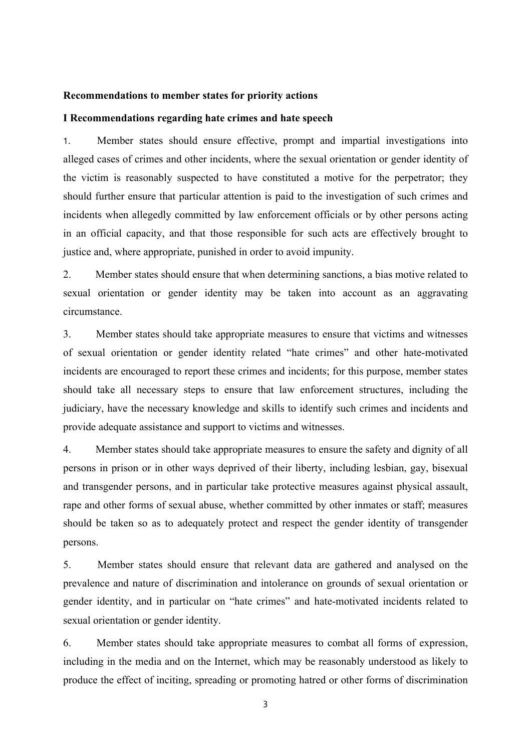#### **Recommendations to member states for priority actions**

#### **I Recommendations regarding hate crimes and hate speech**

1. Member states should ensure effective, prompt and impartial investigations into alleged cases of crimes and other incidents, where the sexual orientation or gender identity of the victim is reasonably suspected to have constituted a motive for the perpetrator; they should further ensure that particular attention is paid to the investigation of such crimes and incidents when allegedly committed by law enforcement officials or by other persons acting in an official capacity, and that those responsible for such acts are effectively brought to justice and, where appropriate, punished in order to avoid impunity.

2. Member states should ensure that when determining sanctions, a bias motive related to sexual orientation or gender identity may be taken into account as an aggravating circumstance.

3. Member states should take appropriate measures to ensure that victims and witnesses of sexual orientation or gender identity related "hate crimes" and other hate-motivated incidents are encouraged to report these crimes and incidents; for this purpose, member states should take all necessary steps to ensure that law enforcement structures, including the judiciary, have the necessary knowledge and skills to identify such crimes and incidents and provide adequate assistance and support to victims and witnesses.

4. Member states should take appropriate measures to ensure the safety and dignity of all persons in prison or in other ways deprived of their liberty, including lesbian, gay, bisexual and transgender persons, and in particular take protective measures against physical assault, rape and other forms of sexual abuse, whether committed by other inmates or staff; measures should be taken so as to adequately protect and respect the gender identity of transgender persons.

5. Member states should ensure that relevant data are gathered and analysed on the prevalence and nature of discrimination and intolerance on grounds of sexual orientation or gender identity, and in particular on "hate crimes" and hate-motivated incidents related to sexual orientation or gender identity.

6. Member states should take appropriate measures to combat all forms of expression, including in the media and on the Internet, which may be reasonably understood as likely to produce the effect of inciting, spreading or promoting hatred or other forms of discrimination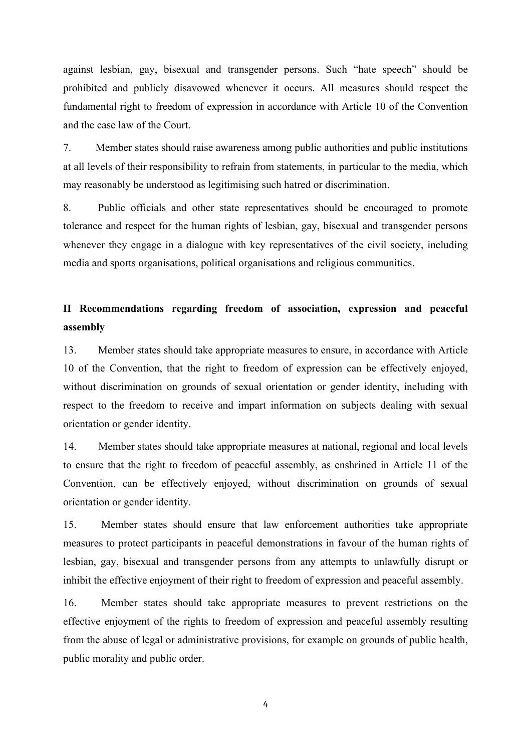against lesbian, gay, bisexual and transgender persons. Such "hate speech" should be prohibited and publicly disavowed whenever it occurs. All measures should respect the fundamental right to freedom of expression in accordance with Article 10 of the Convention and the case law of the Court.

7. Member states should raise awareness among public authorities and public institutions at all levels of their responsibility to refrain from statements, in particular to the media, which may reasonably be understood as legitimising such hatred or discrimination.

8. Public officials and other state representatives should be encouraged to promote tolerance and respect for the human rights of lesbian, gay, bisexual and transgender persons whenever they engage in a dialogue with key representatives of the civil society, including media and sports organisations, political organisations and religious communities.

# **II Recommendations regarding freedom of association, expression and peaceful assembly**

13. Member states should take appropriate measures to ensure, in accordance with Article 10 of the Convention, that the right to freedom of expression can be effectively enjoyed, without discrimination on grounds of sexual orientation or gender identity, including with respect to the freedom to receive and impart information on subjects dealing with sexual orientation or gender identity.

14. Member states should take appropriate measures at national, regional and local levels to ensure that the right to freedom of peaceful assembly, as enshrined in Article 11 of the Convention, can be effectively enjoyed, without discrimination on grounds of sexual orientation or gender identity.

15. Member states should ensure that law enforcement authorities take appropriate measures to protect participants in peaceful demonstrations in favour of the human rights of lesbian, gay, bisexual and transgender persons from any attempts to unlawfully disrupt or inhibit the effective enjoyment of their right to freedom of expression and peaceful assembly.

16. Member states should take appropriate measures to prevent restrictions on the effective enjoyment of the rights to freedom of expression and peaceful assembly resulting from the abuse of legal or administrative provisions, for example on grounds of public health, public morality and public order.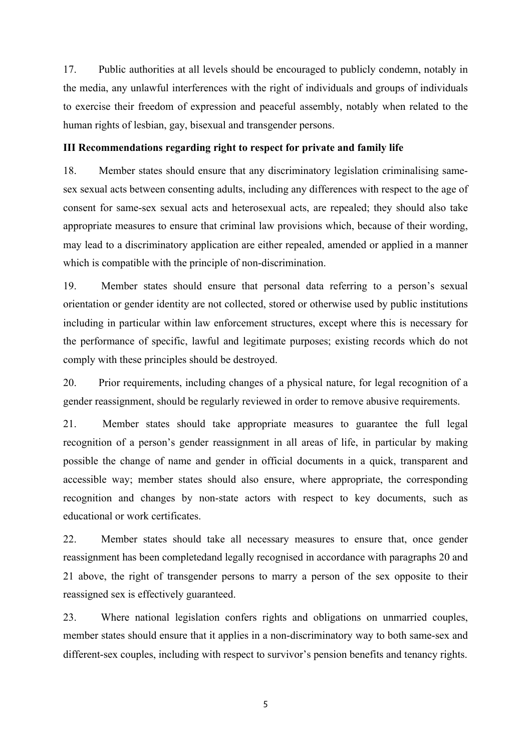17. Public authorities at all levels should be encouraged to publicly condemn, notably in the media, any unlawful interferences with the right of individuals and groups of individuals to exercise their freedom of expression and peaceful assembly, notably when related to the human rights of lesbian, gay, bisexual and transgender persons.

# **III Recommendations regarding right to respect for private and family life**

18. Member states should ensure that any discriminatory legislation criminalising samesex sexual acts between consenting adults, including any differences with respect to the age of consent for same-sex sexual acts and heterosexual acts, are repealed; they should also take appropriate measures to ensure that criminal law provisions which, because of their wording, may lead to a discriminatory application are either repealed, amended or applied in a manner which is compatible with the principle of non-discrimination.

19. Member states should ensure that personal data referring to a person's sexual orientation or gender identity are not collected, stored or otherwise used by public institutions including in particular within law enforcement structures, except where this is necessary for the performance of specific, lawful and legitimate purposes; existing records which do not comply with these principles should be destroyed.

20. Prior requirements, including changes of a physical nature, for legal recognition of a gender reassignment, should be regularly reviewed in order to remove abusive requirements.

21. Member states should take appropriate measures to guarantee the full legal recognition of a person's gender reassignment in all areas of life, in particular by making possible the change of name and gender in official documents in a quick, transparent and accessible way; member states should also ensure, where appropriate, the corresponding recognition and changes by non-state actors with respect to key documents, such as educational or work certificates.

22. Member states should take all necessary measures to ensure that, once gender reassignment has been completedand legally recognised in accordance with paragraphs 20 and 21 above, the right of transgender persons to marry a person of the sex opposite to their reassigned sex is effectively guaranteed.

23. Where national legislation confers rights and obligations on unmarried couples, member states should ensure that it applies in a non-discriminatory way to both same-sex and different-sex couples, including with respect to survivor's pension benefits and tenancy rights.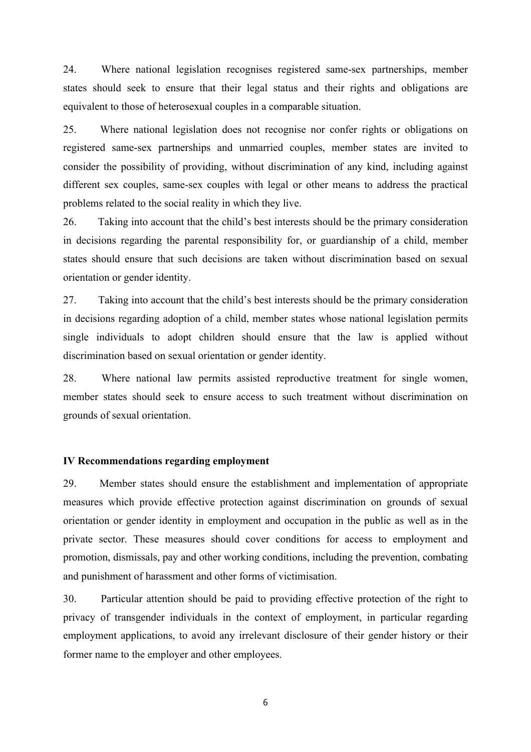24. Where national legislation recognises registered same-sex partnerships, member states should seek to ensure that their legal status and their rights and obligations are equivalent to those of heterosexual couples in a comparable situation.

25. Where national legislation does not recognise nor confer rights or obligations on registered same-sex partnerships and unmarried couples, member states are invited to consider the possibility of providing, without discrimination of any kind, including against different sex couples, same-sex couples with legal or other means to address the practical problems related to the social reality in which they live.

26. Taking into account that the child's best interests should be the primary consideration in decisions regarding the parental responsibility for, or guardianship of a child, member states should ensure that such decisions are taken without discrimination based on sexual orientation or gender identity.

27. Taking into account that the child's best interests should be the primary consideration in decisions regarding adoption of a child, member states whose national legislation permits single individuals to adopt children should ensure that the law is applied without discrimination based on sexual orientation or gender identity.

28. Where national law permits assisted reproductive treatment for single women, member states should seek to ensure access to such treatment without discrimination on grounds of sexual orientation.

### **IV Recommendations regarding employment**

29. Member states should ensure the establishment and implementation of appropriate measures which provide effective protection against discrimination on grounds of sexual orientation or gender identity in employment and occupation in the public as well as in the private sector. These measures should cover conditions for access to employment and promotion, dismissals, pay and other working conditions, including the prevention, combating and punishment of harassment and other forms of victimisation.

30. Particular attention should be paid to providing effective protection of the right to privacy of transgender individuals in the context of employment, in particular regarding employment applications, to avoid any irrelevant disclosure of their gender history or their former name to the employer and other employees.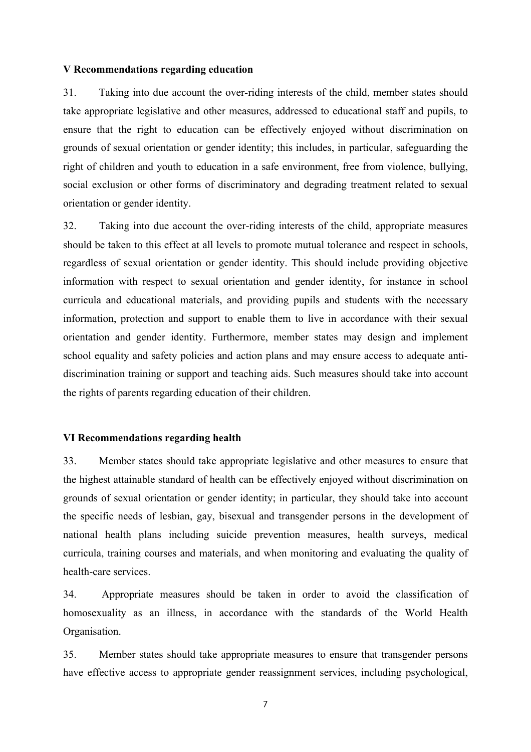#### **V Recommendations regarding education**

31. Taking into due account the over-riding interests of the child, member states should take appropriate legislative and other measures, addressed to educational staff and pupils, to ensure that the right to education can be effectively enjoyed without discrimination on grounds of sexual orientation or gender identity; this includes, in particular, safeguarding the right of children and youth to education in a safe environment, free from violence, bullying, social exclusion or other forms of discriminatory and degrading treatment related to sexual orientation or gender identity.

32. Taking into due account the over-riding interests of the child, appropriate measures should be taken to this effect at all levels to promote mutual tolerance and respect in schools, regardless of sexual orientation or gender identity. This should include providing objective information with respect to sexual orientation and gender identity, for instance in school curricula and educational materials, and providing pupils and students with the necessary information, protection and support to enable them to live in accordance with their sexual orientation and gender identity. Furthermore, member states may design and implement school equality and safety policies and action plans and may ensure access to adequate antidiscrimination training or support and teaching aids. Such measures should take into account the rights of parents regarding education of their children.

# **VI Recommendations regarding health**

33. Member states should take appropriate legislative and other measures to ensure that the highest attainable standard of health can be effectively enjoyed without discrimination on grounds of sexual orientation or gender identity; in particular, they should take into account the specific needs of lesbian, gay, bisexual and transgender persons in the development of national health plans including suicide prevention measures, health surveys, medical curricula, training courses and materials, and when monitoring and evaluating the quality of health-care services.

34. Appropriate measures should be taken in order to avoid the classification of homosexuality as an illness, in accordance with the standards of the World Health Organisation.

35. Member states should take appropriate measures to ensure that transgender persons have effective access to appropriate gender reassignment services, including psychological,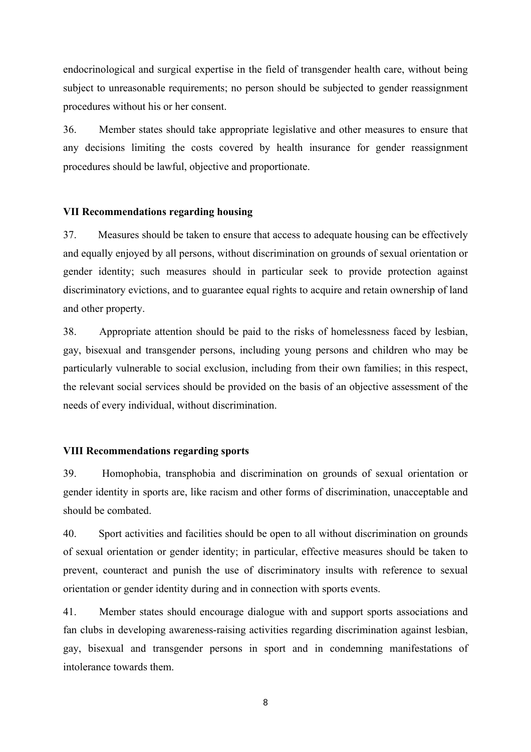endocrinological and surgical expertise in the field of transgender health care, without being subject to unreasonable requirements; no person should be subjected to gender reassignment procedures without his or her consent.

36. Member states should take appropriate legislative and other measures to ensure that any decisions limiting the costs covered by health insurance for gender reassignment procedures should be lawful, objective and proportionate.

# **VII Recommendations regarding housing**

37. Measures should be taken to ensure that access to adequate housing can be effectively and equally enjoyed by all persons, without discrimination on grounds of sexual orientation or gender identity; such measures should in particular seek to provide protection against discriminatory evictions, and to guarantee equal rights to acquire and retain ownership of land and other property.

38. Appropriate attention should be paid to the risks of homelessness faced by lesbian, gay, bisexual and transgender persons, including young persons and children who may be particularly vulnerable to social exclusion, including from their own families; in this respect, the relevant social services should be provided on the basis of an objective assessment of the needs of every individual, without discrimination.

### **VIII Recommendations regarding sports**

39. Homophobia, transphobia and discrimination on grounds of sexual orientation or gender identity in sports are, like racism and other forms of discrimination, unacceptable and should be combated.

40. Sport activities and facilities should be open to all without discrimination on grounds of sexual orientation or gender identity; in particular, effective measures should be taken to prevent, counteract and punish the use of discriminatory insults with reference to sexual orientation or gender identity during and in connection with sports events.

41. Member states should encourage dialogue with and support sports associations and fan clubs in developing awareness-raising activities regarding discrimination against lesbian, gay, bisexual and transgender persons in sport and in condemning manifestations of intolerance towards them.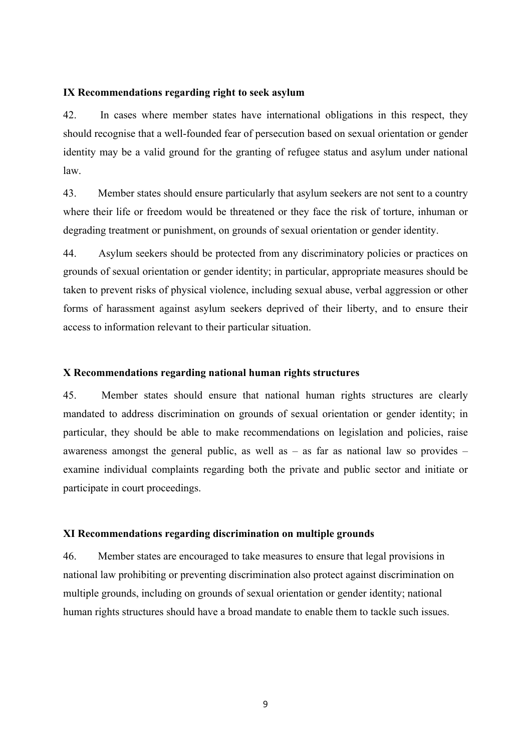### **IX Recommendations regarding right to seek asylum**

42. In cases where member states have international obligations in this respect, they should recognise that a well-founded fear of persecution based on sexual orientation or gender identity may be a valid ground for the granting of refugee status and asylum under national law.

43. Member states should ensure particularly that asylum seekers are not sent to a country where their life or freedom would be threatened or they face the risk of torture, inhuman or degrading treatment or punishment, on grounds of sexual orientation or gender identity.

44. Asylum seekers should be protected from any discriminatory policies or practices on grounds of sexual orientation or gender identity; in particular, appropriate measures should be taken to prevent risks of physical violence, including sexual abuse, verbal aggression or other forms of harassment against asylum seekers deprived of their liberty, and to ensure their access to information relevant to their particular situation.

# **X Recommendations regarding national human rights structures**

45. Member states should ensure that national human rights structures are clearly mandated to address discrimination on grounds of sexual orientation or gender identity; in particular, they should be able to make recommendations on legislation and policies, raise awareness amongst the general public, as well as  $-$  as far as national law so provides  $$ examine individual complaints regarding both the private and public sector and initiate or participate in court proceedings.

### **XI Recommendations regarding discrimination on multiple grounds**

46. Member states are encouraged to take measures to ensure that legal provisions in national law prohibiting or preventing discrimination also protect against discrimination on multiple grounds, including on grounds of sexual orientation or gender identity; national human rights structures should have a broad mandate to enable them to tackle such issues.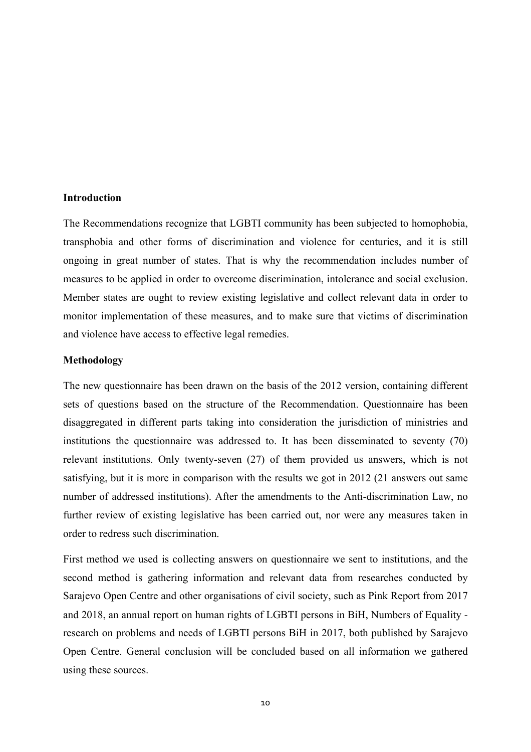### **Introduction**

The Recommendations recognize that LGBTI community has been subjected to homophobia, transphobia and other forms of discrimination and violence for centuries, and it is still ongoing in great number of states. That is why the recommendation includes number of measures to be applied in order to overcome discrimination, intolerance and social exclusion. Member states are ought to review existing legislative and collect relevant data in order to monitor implementation of these measures, and to make sure that victims of discrimination and violence have access to effective legal remedies.

#### **Methodology**

The new questionnaire has been drawn on the basis of the 2012 version, containing different sets of questions based on the structure of the Recommendation. Questionnaire has been disaggregated in different parts taking into consideration the jurisdiction of ministries and institutions the questionnaire was addressed to. It has been disseminated to seventy (70) relevant institutions. Only twenty-seven (27) of them provided us answers, which is not satisfying, but it is more in comparison with the results we got in 2012 (21 answers out same number of addressed institutions). After the amendments to the Anti-discrimination Law, no further review of existing legislative has been carried out, nor were any measures taken in order to redress such discrimination.

First method we used is collecting answers on questionnaire we sent to institutions, and the second method is gathering information and relevant data from researches conducted by Sarajevo Open Centre and other organisations of civil society, such as Pink Report from 2017 and 2018, an annual report on human rights of LGBTI persons in BiH, Numbers of Equality research on problems and needs of LGBTI persons BiH in 2017, both published by Sarajevo Open Centre. General conclusion will be concluded based on all information we gathered using these sources.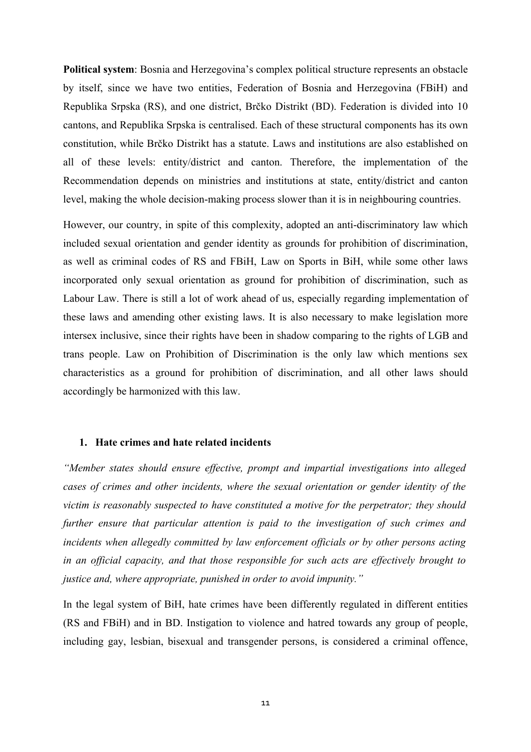**Political system**: Bosnia and Herzegovina's complex political structure represents an obstacle by itself, since we have two entities, Federation of Bosnia and Herzegovina (FBiH) and Republika Srpska (RS), and one district, Brčko Distrikt (BD). Federation is divided into 10 cantons, and Republika Srpska is centralised. Each of these structural components has its own constitution, while Brčko Distrikt has a statute. Laws and institutions are also established on all of these levels: entity/district and canton. Therefore, the implementation of the Recommendation depends on ministries and institutions at state, entity/district and canton level, making the whole decision-making process slower than it is in neighbouring countries.

However, our country, in spite of this complexity, adopted an anti-discriminatory law which included sexual orientation and gender identity as grounds for prohibition of discrimination, as well as criminal codes of RS and FBiH, Law on Sports in BiH, while some other laws incorporated only sexual orientation as ground for prohibition of discrimination, such as Labour Law. There is still a lot of work ahead of us, especially regarding implementation of these laws and amending other existing laws. It is also necessary to make legislation more intersex inclusive, since their rights have been in shadow comparing to the rights of LGB and trans people. Law on Prohibition of Discrimination is the only law which mentions sex characteristics as a ground for prohibition of discrimination, and all other laws should accordingly be harmonized with this law.

### **1. Hate crimes and hate related incidents**

*"Member states should ensure effective, prompt and impartial investigations into alleged cases of crimes and other incidents, where the sexual orientation or gender identity of the victim is reasonably suspected to have constituted a motive for the perpetrator; they should further ensure that particular attention is paid to the investigation of such crimes and incidents when allegedly committed by law enforcement officials or by other persons acting in an official capacity, and that those responsible for such acts are effectively brought to justice and, where appropriate, punished in order to avoid impunity."*

In the legal system of BiH, hate crimes have been differently regulated in different entities (RS and FBiH) and in BD. Instigation to violence and hatred towards any group of people, including gay, lesbian, bisexual and transgender persons, is considered a criminal offence,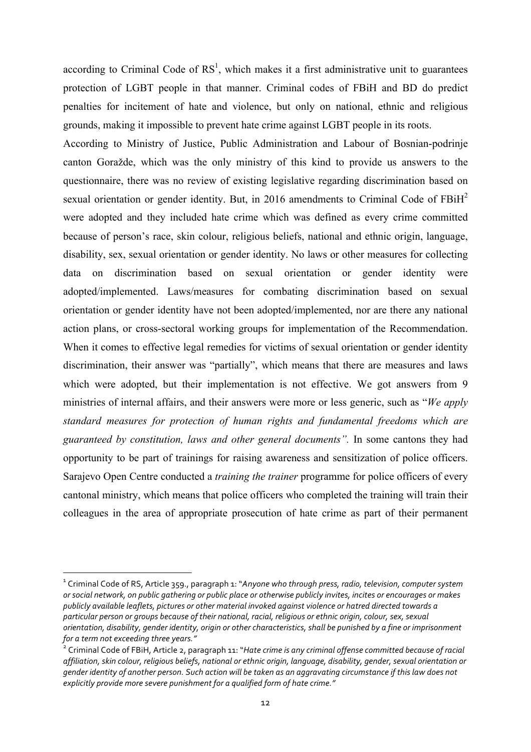according to Criminal Code of  $RS<sup>1</sup>$ , which makes it a first administrative unit to guarantees protection of LGBT people in that manner. Criminal codes of FBiH and BD do predict penalties for incitement of hate and violence, but only on national, ethnic and religious grounds, making it impossible to prevent hate crime against LGBT people in its roots.

According to Ministry of Justice, Public Administration and Labour of Bosnian-podrinje canton Goražde, which was the only ministry of this kind to provide us answers to the questionnaire, there was no review of existing legislative regarding discrimination based on sexual orientation or gender identity. But, in 2016 amendments to Criminal Code of  $FBiH<sup>2</sup>$ were adopted and they included hate crime which was defined as every crime committed because of person's race, skin colour, religious beliefs, national and ethnic origin, language, disability, sex, sexual orientation or gender identity. No laws or other measures for collecting data on discrimination based on sexual orientation or gender identity were adopted/implemented. Laws/measures for combating discrimination based on sexual orientation or gender identity have not been adopted/implemented, nor are there any national action plans, or cross-sectoral working groups for implementation of the Recommendation. When it comes to effective legal remedies for victims of sexual orientation or gender identity discrimination, their answer was "partially", which means that there are measures and laws which were adopted, but their implementation is not effective. We got answers from 9 ministries of internal affairs, and their answers were more or less generic, such as "*We apply standard measures for protection of human rights and fundamental freedoms which are guaranteed by constitution, laws and other general documents".* In some cantons they had opportunity to be part of trainings for raising awareness and sensitization of police officers. Sarajevo Open Centre conducted a *training the trainer* programme for police officers of every cantonal ministry, which means that police officers who completed the training will train their colleagues in the area of appropriate prosecution of hate crime as part of their permanent

<u> 1989 - Jan Samuel Barbara, margaret e</u>

<sup>&</sup>lt;sup>1</sup> Criminal Code of RS, Article 359., paragraph 1: "Anyone who through press, radio, television, computer system *or* social network, on public gathering or public place or otherwise publicly invites, incites or encourages or makes publicly available leaflets, pictures or other material invoked against violence or hatred directed towards a *particular person or groups because of their national, racial, religious or ethnic origin, colour, sex, sexual orientation, disability, gender identity, origin or other characteristics, shall be punished by a fine or imprisonment for a term not exceeding three years."*

<sup>&</sup>lt;sup>2</sup> Criminal Code of FBiH, Article 2, paragraph 11: "*Hate crime is any criminal offense committed because of racial* affiliation, skin colour, religious beliefs, national or ethnic origin, language, disability, gender, sexual orientation or aender identity of another person. Such action will be taken as an aggravating circumstance if this law does not explicitly provide more severe punishment for a qualified form of hate crime."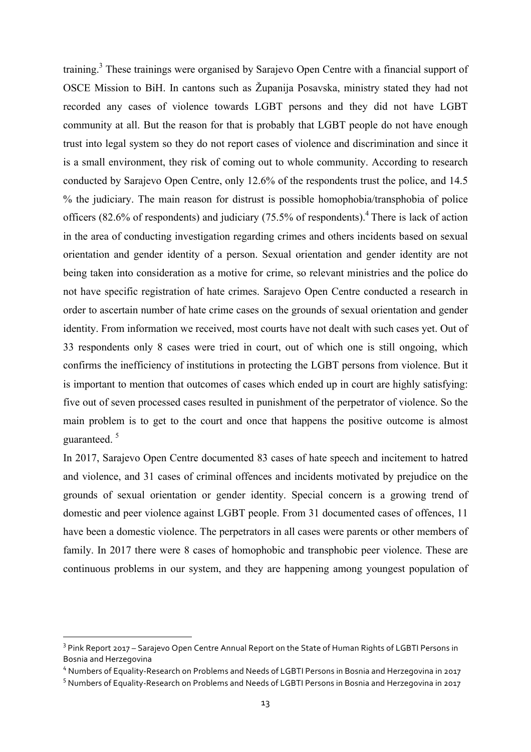training.<sup>3</sup> These trainings were organised by Sarajevo Open Centre with a financial support of OSCE Mission to BiH. In cantons such as Županija Posavska, ministry stated they had not recorded any cases of violence towards LGBT persons and they did not have LGBT community at all. But the reason for that is probably that LGBT people do not have enough trust into legal system so they do not report cases of violence and discrimination and since it is a small environment, they risk of coming out to whole community. According to research conducted by Sarajevo Open Centre, only 12.6% of the respondents trust the police, and 14.5 % the judiciary. The main reason for distrust is possible homophobia/transphobia of police officers (82.6% of respondents) and judiciary (75.5% of respondents).4 There is lack of action in the area of conducting investigation regarding crimes and others incidents based on sexual orientation and gender identity of a person. Sexual orientation and gender identity are not being taken into consideration as a motive for crime, so relevant ministries and the police do not have specific registration of hate crimes. Sarajevo Open Centre conducted a research in order to ascertain number of hate crime cases on the grounds of sexual orientation and gender identity. From information we received, most courts have not dealt with such cases yet. Out of 33 respondents only 8 cases were tried in court, out of which one is still ongoing, which confirms the inefficiency of institutions in protecting the LGBT persons from violence. But it is important to mention that outcomes of cases which ended up in court are highly satisfying: five out of seven processed cases resulted in punishment of the perpetrator of violence. So the main problem is to get to the court and once that happens the positive outcome is almost guaranteed <sup>5</sup>

In 2017, Sarajevo Open Centre documented 83 cases of hate speech and incitement to hatred and violence, and 31 cases of criminal offences and incidents motivated by prejudice on the grounds of sexual orientation or gender identity. Special concern is a growing trend of domestic and peer violence against LGBT people. From 31 documented cases of offences, 11 have been a domestic violence. The perpetrators in all cases were parents or other members of family. In 2017 there were 8 cases of homophobic and transphobic peer violence. These are continuous problems in our system, and they are happening among youngest population of

<u> 1989 - Jan Samuel Barbara, margaret e</u>

<sup>&</sup>lt;sup>3</sup> Pink Report 2017 – Sarajevo Open Centre Annual Report on the State of Human Rights of LGBTI Persons in Bosnia and Herzegovina

<sup>&</sup>lt;sup>4</sup> Numbers of Equality-Research on Problems and Needs of LGBTI Persons in Bosnia and Herzegovina in 2017

 $^5$  Numbers of Equality-Research on Problems and Needs of LGBTI Persons in Bosnia and Herzegovina in 2017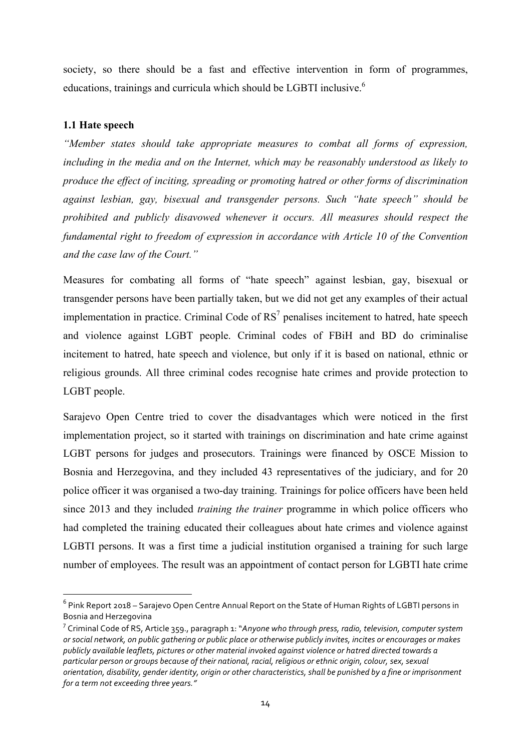society, so there should be a fast and effective intervention in form of programmes, educations, trainings and curricula which should be LGBTI inclusive.<sup>6</sup>

# **1.1 Hate speech**

<u> 1989 - Jan Samuel Barbara, margaret e</u>

*"Member states should take appropriate measures to combat all forms of expression, including in the media and on the Internet, which may be reasonably understood as likely to produce the effect of inciting, spreading or promoting hatred or other forms of discrimination against lesbian, gay, bisexual and transgender persons. Such "hate speech" should be prohibited and publicly disavowed whenever it occurs. All measures should respect the fundamental right to freedom of expression in accordance with Article 10 of the Convention and the case law of the Court."*

Measures for combating all forms of "hate speech" against lesbian, gay, bisexual or transgender persons have been partially taken, but we did not get any examples of their actual implementation in practice. Criminal Code of  $RS<sup>7</sup>$  penalises incitement to hatred, hate speech and violence against LGBT people. Criminal codes of FBiH and BD do criminalise incitement to hatred, hate speech and violence, but only if it is based on national, ethnic or religious grounds. All three criminal codes recognise hate crimes and provide protection to LGBT people.

Sarajevo Open Centre tried to cover the disadvantages which were noticed in the first implementation project, so it started with trainings on discrimination and hate crime against LGBT persons for judges and prosecutors. Trainings were financed by OSCE Mission to Bosnia and Herzegovina, and they included 43 representatives of the judiciary, and for 20 police officer it was organised a two-day training. Trainings for police officers have been held since 2013 and they included *training the trainer* programme in which police officers who had completed the training educated their colleagues about hate crimes and violence against LGBTI persons. It was a first time a judicial institution organised a training for such large number of employees. The result was an appointment of contact person for LGBTI hate crime

 $6$  Pink Report 2018 – Sarajevo Open Centre Annual Report on the State of Human Rights of LGBTI persons in Bosnia and Herzegovina

<sup>&</sup>lt;sup>7</sup> Criminal Code of RS, Article 359., paragraph 1: "A*nyone who through press, radio, television, computer system or* social network, on public gathering or public place or otherwise publicly invites, incites or encourages or makes publicly available leaflets, pictures or other material invoked against violence or hatred directed towards a particular person or groups because of their national, racial, religious or ethnic origin, colour, sex, sexual *orientation, disability, gender identity, origin or other characteristics, shall be punished by a fine or imprisonment* for a term not exceeding three years."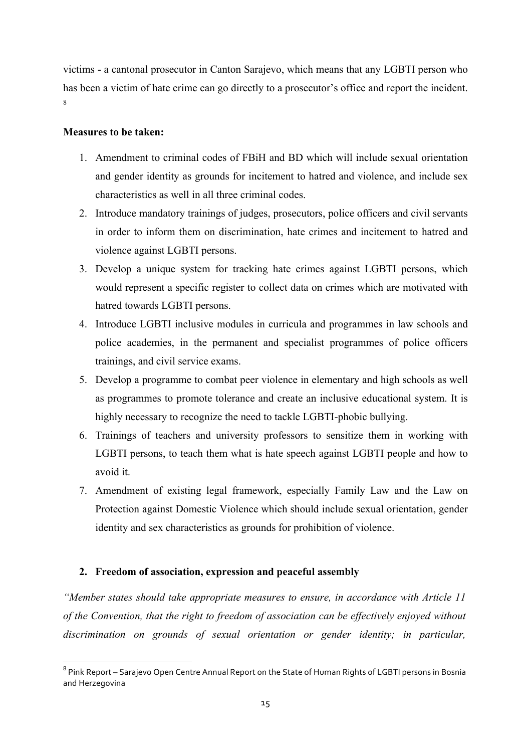victims - a cantonal prosecutor in Canton Sarajevo, which means that any LGBTI person who has been a victim of hate crime can go directly to a prosecutor's office and report the incident. 8

# **Measures to be taken:**

- 1. Amendment to criminal codes of FBiH and BD which will include sexual orientation and gender identity as grounds for incitement to hatred and violence, and include sex characteristics as well in all three criminal codes.
- 2. Introduce mandatory trainings of judges, prosecutors, police officers and civil servants in order to inform them on discrimination, hate crimes and incitement to hatred and violence against LGBTI persons.
- 3. Develop a unique system for tracking hate crimes against LGBTI persons, which would represent a specific register to collect data on crimes which are motivated with hatred towards LGBTI persons.
- 4. Introduce LGBTI inclusive modules in curricula and programmes in law schools and police academies, in the permanent and specialist programmes of police officers trainings, and civil service exams.
- 5. Develop a programme to combat peer violence in elementary and high schools as well as programmes to promote tolerance and create an inclusive educational system. It is highly necessary to recognize the need to tackle LGBTI-phobic bullying.
- 6. Trainings of teachers and university professors to sensitize them in working with LGBTI persons, to teach them what is hate speech against LGBTI people and how to avoid it.
- 7. Amendment of existing legal framework, especially Family Law and the Law on Protection against Domestic Violence which should include sexual orientation, gender identity and sex characteristics as grounds for prohibition of violence.

# **2. Freedom of association, expression and peaceful assembly**

<u> 1989 - Jan Samuel Barbara, margaret e</u>

*"Member states should take appropriate measures to ensure, in accordance with Article 11 of the Convention, that the right to freedom of association can be effectively enjoyed without discrimination on grounds of sexual orientation or gender identity; in particular,* 

<sup>&</sup>lt;sup>8</sup> Pink Report – Sarajevo Open Centre Annual Report on the State of Human Rights of LGBTI persons in Bosnia and Herzegovina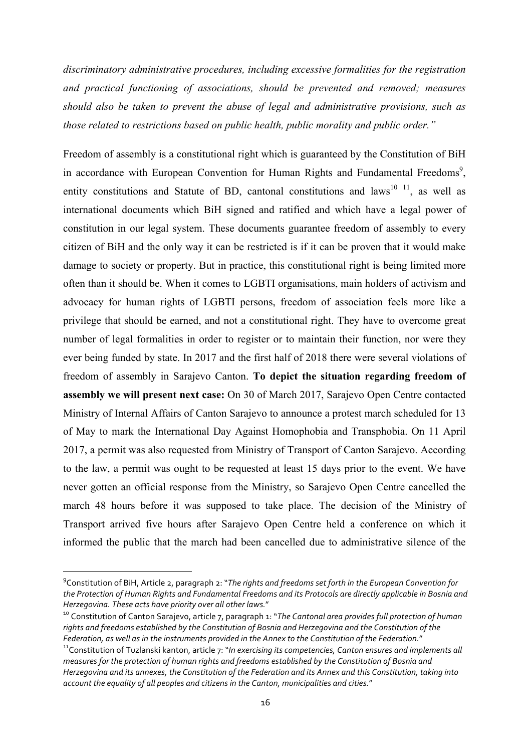*discriminatory administrative procedures, including excessive formalities for the registration and practical functioning of associations, should be prevented and removed; measures should also be taken to prevent the abuse of legal and administrative provisions, such as those related to restrictions based on public health, public morality and public order."*

Freedom of assembly is a constitutional right which is guaranteed by the Constitution of BiH in accordance with European Convention for Human Rights and Fundamental Freedoms<sup>9</sup>, entity constitutions and Statute of BD, cantonal constitutions and laws<sup>10 11</sup>, as well as international documents which BiH signed and ratified and which have a legal power of constitution in our legal system. These documents guarantee freedom of assembly to every citizen of BiH and the only way it can be restricted is if it can be proven that it would make damage to society or property. But in practice, this constitutional right is being limited more often than it should be. When it comes to LGBTI organisations, main holders of activism and advocacy for human rights of LGBTI persons, freedom of association feels more like a privilege that should be earned, and not a constitutional right. They have to overcome great number of legal formalities in order to register or to maintain their function, nor were they ever being funded by state. In 2017 and the first half of 2018 there were several violations of freedom of assembly in Sarajevo Canton. **To depict the situation regarding freedom of assembly we will present next case:** On 30 of March 2017, Sarajevo Open Centre contacted Ministry of Internal Affairs of Canton Sarajevo to announce a protest march scheduled for 13 of May to mark the International Day Against Homophobia and Transphobia. On 11 April 2017, a permit was also requested from Ministry of Transport of Canton Sarajevo. According to the law, a permit was ought to be requested at least 15 days prior to the event. We have never gotten an official response from the Ministry, so Sarajevo Open Centre cancelled the march 48 hours before it was supposed to take place. The decision of the Ministry of Transport arrived five hours after Sarajevo Open Centre held a conference on which it informed the public that the march had been cancelled due to administrative silence of the

<u> 1989 - Jan Samuel Barbara, margaret e</u>

<sup>&</sup>lt;sup>9</sup> Constitution of BiH, Article 2, paragraph 2: "*The rights and freedoms set forth in the European Convention for* the Protection of Human Rights and Fundamental Freedoms and its Protocols are directly applicable in Bosnia and *Herzegovina. These acts have priority over all other laws.*"

<sup>&</sup>lt;sup>10</sup> Constitution of Canton Sarajevo, article 7, paragraph 1: "The Cantonal area provides full protection of human rights and freedoms established by the Constitution of Bosnia and Herzegovina and the Constitution of the Federation, as well as in the instruments provided in the Annex to the Constitution of the Federation."

<sup>&</sup>lt;sup>11</sup> Constitution of Tuzlanski kanton, article 7: "*In exercising its competencies, Canton ensures and implements all* measures for the protection of human rights and freedoms established by the Constitution of Bosnia and *Herzegoving and its annexes, the Constitution of the Federation and its Annex and this Constitution, taking into* account the equality of all peoples and citizens in the Canton, municipalities and cities."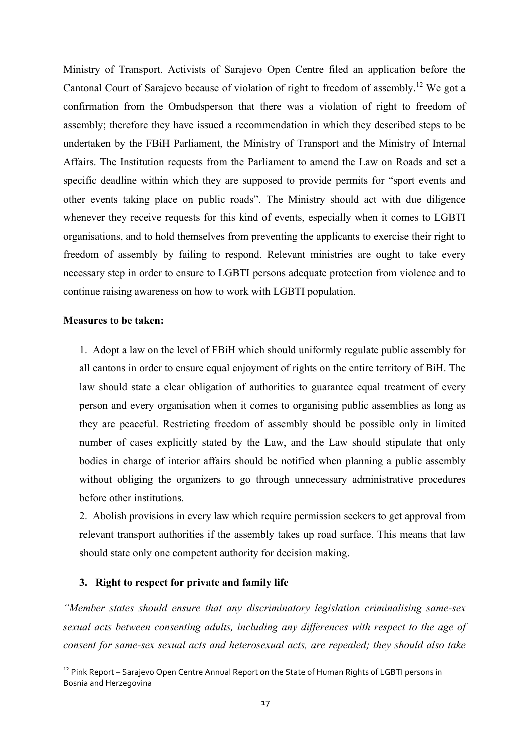Ministry of Transport. Activists of Sarajevo Open Centre filed an application before the Cantonal Court of Sarajevo because of violation of right to freedom of assembly.<sup>12</sup> We got a confirmation from the Ombudsperson that there was a violation of right to freedom of assembly; therefore they have issued a recommendation in which they described steps to be undertaken by the FBiH Parliament, the Ministry of Transport and the Ministry of Internal Affairs. The Institution requests from the Parliament to amend the Law on Roads and set a specific deadline within which they are supposed to provide permits for "sport events and other events taking place on public roads". The Ministry should act with due diligence whenever they receive requests for this kind of events, especially when it comes to LGBTI organisations, and to hold themselves from preventing the applicants to exercise their right to freedom of assembly by failing to respond. Relevant ministries are ought to take every necessary step in order to ensure to LGBTI persons adequate protection from violence and to continue raising awareness on how to work with LGBTI population.

#### **Measures to be taken:**

1. Adopt a law on the level of FBiH which should uniformly regulate public assembly for all cantons in order to ensure equal enjoyment of rights on the entire territory of BiH. The law should state a clear obligation of authorities to guarantee equal treatment of every person and every organisation when it comes to organising public assemblies as long as they are peaceful. Restricting freedom of assembly should be possible only in limited number of cases explicitly stated by the Law, and the Law should stipulate that only bodies in charge of interior affairs should be notified when planning a public assembly without obliging the organizers to go through unnecessary administrative procedures before other institutions.

2. Abolish provisions in every law which require permission seekers to get approval from relevant transport authorities if the assembly takes up road surface. This means that law should state only one competent authority for decision making.

# **3. Right to respect for private and family life**

<u> 1989 - Jan Samuel Barbara, margaret e</u>

*"Member states should ensure that any discriminatory legislation criminalising same-sex sexual acts between consenting adults, including any differences with respect to the age of consent for same-sex sexual acts and heterosexual acts, are repealed; they should also take* 

<sup>&</sup>lt;sup>12</sup> Pink Report – Sarajevo Open Centre Annual Report on the State of Human Rights of LGBTI persons in Bosnia and Herzegovina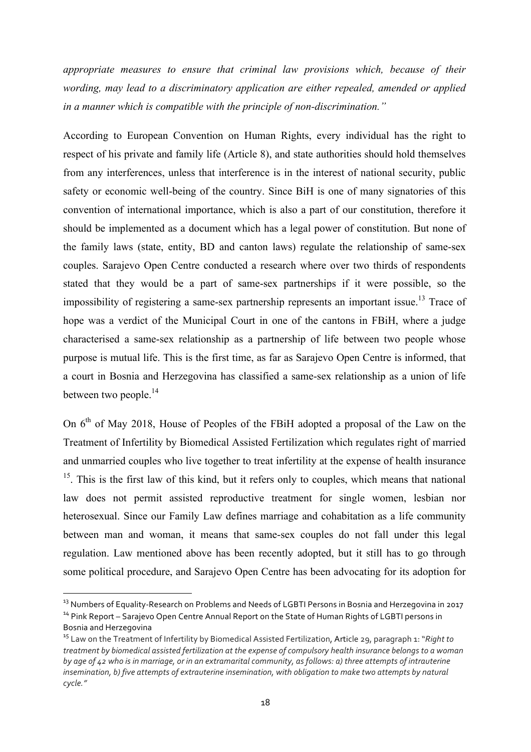*appropriate measures to ensure that criminal law provisions which, because of their wording, may lead to a discriminatory application are either repealed, amended or applied in a manner which is compatible with the principle of non-discrimination."*

According to European Convention on Human Rights, every individual has the right to respect of his private and family life (Article 8), and state authorities should hold themselves from any interferences, unless that interference is in the interest of national security, public safety or economic well-being of the country. Since BiH is one of many signatories of this convention of international importance, which is also a part of our constitution, therefore it should be implemented as a document which has a legal power of constitution. But none of the family laws (state, entity, BD and canton laws) regulate the relationship of same-sex couples. Sarajevo Open Centre conducted a research where over two thirds of respondents stated that they would be a part of same-sex partnerships if it were possible, so the impossibility of registering a same-sex partnership represents an important issue.<sup>13</sup> Trace of hope was a verdict of the Municipal Court in one of the cantons in FBiH, where a judge characterised a same-sex relationship as a partnership of life between two people whose purpose is mutual life. This is the first time, as far as Sarajevo Open Centre is informed, that a court in Bosnia and Herzegovina has classified a same-sex relationship as a union of life between two people.<sup>14</sup>

On  $6<sup>th</sup>$  of May 2018. House of Peoples of the FBiH adopted a proposal of the Law on the Treatment of Infertility by Biomedical Assisted Fertilization which regulates right of married and unmarried couples who live together to treat infertility at the expense of health insurance  $15$ . This is the first law of this kind, but it refers only to couples, which means that national law does not permit assisted reproductive treatment for single women, lesbian nor heterosexual. Since our Family Law defines marriage and cohabitation as a life community between man and woman, it means that same-sex couples do not fall under this legal regulation. Law mentioned above has been recently adopted, but it still has to go through some political procedure, and Sarajevo Open Centre has been advocating for its adoption for

<u> 1989 - Johann Barn, mars ann an t-Amhain an t-Amhain an t-Amhain an t-Amhain an t-Amhain an t-Amhain an t-Amh</u>

<sup>&</sup>lt;sup>13</sup> Numbers of Equality-Research on Problems and Needs of LGBTI Persons in Bosnia and Herzegovina in 2017 <sup>14</sup> Pink Report – Sarajevo Open Centre Annual Report on the State of Human Rights of LGBTI persons in

Bosnia and Herzegovina

<sup>&</sup>lt;sup>15</sup> Law on the Treatment of Infertility by Biomedical Assisted Fertilization, Article 29, paragraph 1: "Right to *treatment* by biomedical assisted fertilization at the expense of compulsory health insurance belongs to a woman *by* age of  $\mu$ <sub>2</sub> who is in marriage, or in an extramarital community, as follows: a) three attempts of intrauterine *insemination, b)* five attempts of extrauterine insemination, with obligation to make two attempts by natural *cycle."*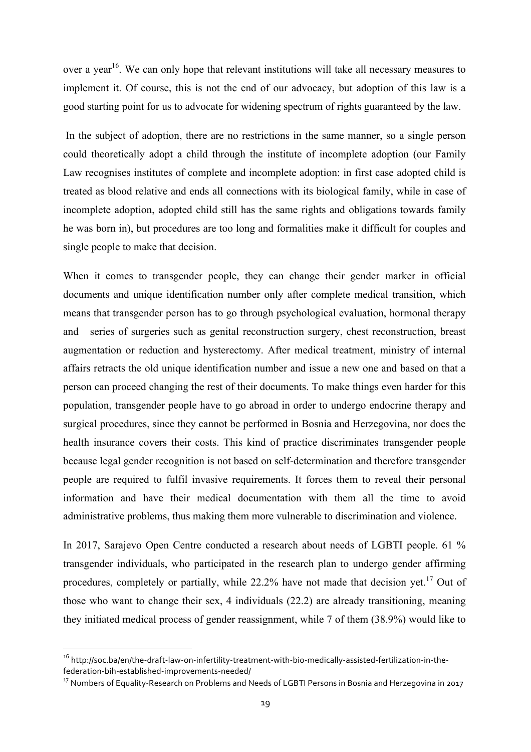over a year<sup>16</sup>. We can only hope that relevant institutions will take all necessary measures to implement it. Of course, this is not the end of our advocacy, but adoption of this law is a good starting point for us to advocate for widening spectrum of rights guaranteed by the law.

In the subject of adoption, there are no restrictions in the same manner, so a single person could theoretically adopt a child through the institute of incomplete adoption (our Family Law recognises institutes of complete and incomplete adoption: in first case adopted child is treated as blood relative and ends all connections with its biological family, while in case of incomplete adoption, adopted child still has the same rights and obligations towards family he was born in), but procedures are too long and formalities make it difficult for couples and single people to make that decision.

When it comes to transgender people, they can change their gender marker in official documents and unique identification number only after complete medical transition, which means that transgender person has to go through psychological evaluation, hormonal therapy and series of surgeries such as genital reconstruction surgery, chest reconstruction, breast augmentation or reduction and hysterectomy. After medical treatment, ministry of internal affairs retracts the old unique identification number and issue a new one and based on that a person can proceed changing the rest of their documents. To make things even harder for this population, transgender people have to go abroad in order to undergo endocrine therapy and surgical procedures, since they cannot be performed in Bosnia and Herzegovina, nor does the health insurance covers their costs. This kind of practice discriminates transgender people because legal gender recognition is not based on self-determination and therefore transgender people are required to fulfil invasive requirements. It forces them to reveal their personal information and have their medical documentation with them all the time to avoid administrative problems, thus making them more vulnerable to discrimination and violence.

In 2017, Sarajevo Open Centre conducted a research about needs of LGBTI people. 61 % transgender individuals, who participated in the research plan to undergo gender affirming procedures, completely or partially, while  $22.2\%$  have not made that decision yet.<sup>17</sup> Out of those who want to change their sex, 4 individuals (22.2) are already transitioning, meaning they initiated medical process of gender reassignment, while 7 of them (38.9%) would like to

<u> 1989 - Jan Samuel Barbara, margaret e</u>

<sup>16</sup> http://soc.ba/en/the-draft-law-on-infertility-treatment-with-bio-medically-assisted-fertilization-in-thefederation-bih-established-improvements-needed/

<sup>&</sup>lt;sup>17</sup> Numbers of Equality-Research on Problems and Needs of LGBTI Persons in Bosnia and Herzegovina in 2017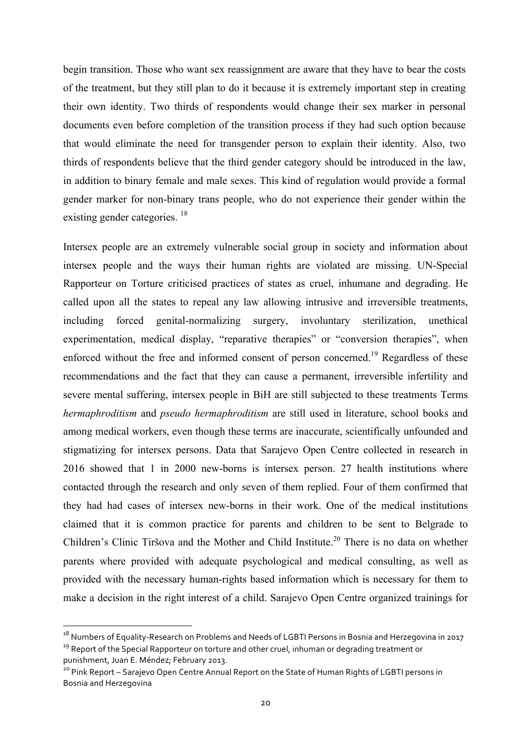begin transition. Those who want sex reassignment are aware that they have to bear the costs of the treatment, but they still plan to do it because it is extremely important step in creating their own identity. Two thirds of respondents would change their sex marker in personal documents even before completion of the transition process if they had such option because that would eliminate the need for transgender person to explain their identity. Also, two thirds of respondents believe that the third gender category should be introduced in the law, in addition to binary female and male sexes. This kind of regulation would provide a formal gender marker for non-binary trans people, who do not experience their gender within the existing gender categories.<sup>18</sup>

Intersex people are an extremely vulnerable social group in society and information about intersex people and the ways their human rights are violated are missing. UN-Special Rapporteur on Torture criticised practices of states as cruel, inhumane and degrading. He called upon all the states to repeal any law allowing intrusive and irreversible treatments, including forced genital-normalizing surgery, involuntary sterilization, unethical experimentation, medical display, "reparative therapies" or "conversion therapies", when enforced without the free and informed consent of person concerned.<sup>19</sup> Regardless of these recommendations and the fact that they can cause a permanent, irreversible infertility and severe mental suffering, intersex people in BiH are still subjected to these treatments Terms *hermaphroditism* and *pseudo hermaphroditism* are still used in literature, school books and among medical workers, even though these terms are inaccurate, scientifically unfounded and stigmatizing for intersex persons. Data that Sarajevo Open Centre collected in research in 2016 showed that 1 in 2000 new-borns is intersex person. 27 health institutions where contacted through the research and only seven of them replied. Four of them confirmed that they had had cases of intersex new-borns in their work. One of the medical institutions claimed that it is common practice for parents and children to be sent to Belgrade to Children's Clinic Tiršova and the Mother and Child Institute.<sup>20</sup> There is no data on whether parents where provided with adequate psychological and medical consulting, as well as provided with the necessary human-rights based information which is necessary for them to make a decision in the right interest of a child. Sarajevo Open Centre organized trainings for

<u> 1989 - Johann Barn, mars ann an t-Amhain an t-Amhain an t-Amhain an t-Amhain an t-Amhain an t-Amhain an t-Amh</u>

 $18$  Numbers of Equality-Research on Problems and Needs of LGBTI Persons in Bosnia and Herzegovina in 2017 <sup>19</sup> Report of the Special Rapporteur on torture and other cruel, inhuman or degrading treatment or

punishment, Juan E. Méndez; February 2013.

<sup>&</sup>lt;sup>20</sup> Pink Report – Sarajevo Open Centre Annual Report on the State of Human Rights of LGBTI persons in Bosnia and Herzegovina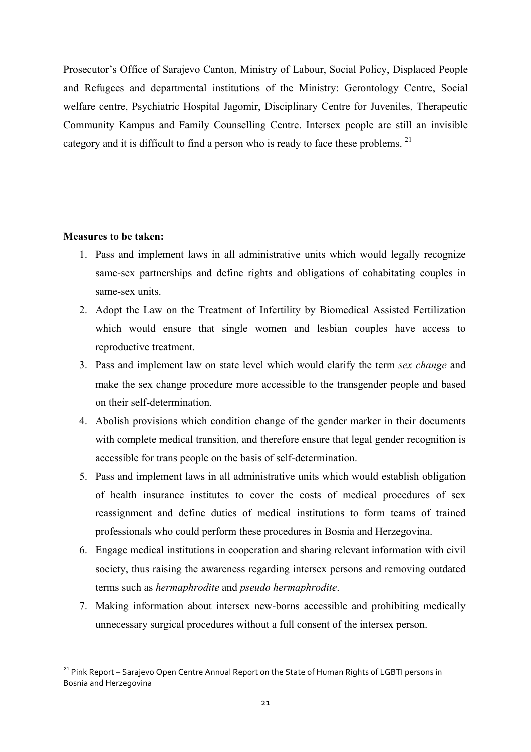Prosecutor's Office of Sarajevo Canton, Ministry of Labour, Social Policy, Displaced People and Refugees and departmental institutions of the Ministry: Gerontology Centre, Social welfare centre, Psychiatric Hospital Jagomir, Disciplinary Centre for Juveniles, Therapeutic Community Kampus and Family Counselling Centre. Intersex people are still an invisible category and it is difficult to find a person who is ready to face these problems.<sup>21</sup>

# **Measures to be taken:**

<u> 1989 - Jan Samuel Barbara, margaret e</u>

- 1. Pass and implement laws in all administrative units which would legally recognize same-sex partnerships and define rights and obligations of cohabitating couples in same-sex units.
- 2. Adopt the Law on the Treatment of Infertility by Biomedical Assisted Fertilization which would ensure that single women and lesbian couples have access to reproductive treatment.
- 3. Pass and implement law on state level which would clarify the term *sex change* and make the sex change procedure more accessible to the transgender people and based on their self-determination.
- 4. Abolish provisions which condition change of the gender marker in their documents with complete medical transition, and therefore ensure that legal gender recognition is accessible for trans people on the basis of self-determination.
- 5. Pass and implement laws in all administrative units which would establish obligation of health insurance institutes to cover the costs of medical procedures of sex reassignment and define duties of medical institutions to form teams of trained professionals who could perform these procedures in Bosnia and Herzegovina.
- 6. Engage medical institutions in cooperation and sharing relevant information with civil society, thus raising the awareness regarding intersex persons and removing outdated terms such as *hermaphrodite* and *pseudo hermaphrodite*.
- 7. Making information about intersex new-borns accessible and prohibiting medically unnecessary surgical procedures without a full consent of the intersex person.

<sup>&</sup>lt;sup>21</sup> Pink Report – Saraievo Open Centre Annual Report on the State of Human Rights of LGBTI persons in Bosnia and Herzegovina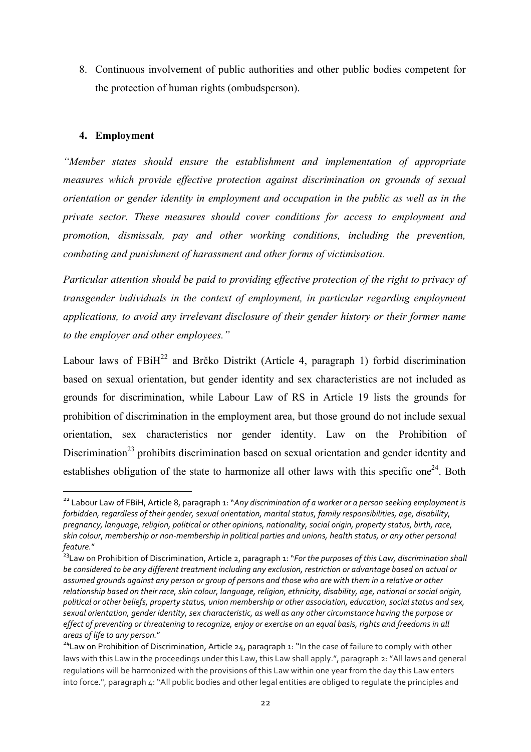8. Continuous involvement of public authorities and other public bodies competent for the protection of human rights (ombudsperson).

# **4. Employment**

<u> 1989 - Jan Samuel Barbara, margaret e</u>

*"Member states should ensure the establishment and implementation of appropriate measures which provide effective protection against discrimination on grounds of sexual orientation or gender identity in employment and occupation in the public as well as in the private sector. These measures should cover conditions for access to employment and promotion, dismissals, pay and other working conditions, including the prevention, combating and punishment of harassment and other forms of victimisation.*

*Particular attention should be paid to providing effective protection of the right to privacy of transgender individuals in the context of employment, in particular regarding employment applications, to avoid any irrelevant disclosure of their gender history or their former name to the employer and other employees."*

Labour laws of  $FBiH<sup>22</sup>$  and Brčko Distrikt (Article 4, paragraph 1) forbid discrimination based on sexual orientation, but gender identity and sex characteristics are not included as grounds for discrimination, while Labour Law of RS in Article 19 lists the grounds for prohibition of discrimination in the employment area, but those ground do not include sexual orientation, sex characteristics nor gender identity. Law on the Prohibition of Discrimination<sup>23</sup> prohibits discrimination based on sexual orientation and gender identity and establishes obligation of the state to harmonize all other laws with this specific one<sup>24</sup>. Both

<sup>&</sup>lt;sup>22</sup> Labour Law of FBiH, Article 8, paragraph 1: "Any discrimination of a worker or a person seeking employment is forbidden, regardless of their gender, sexual orientation, marital status, family responsibilities, age, disability, *pregnancy, language, religion, political or other opinions, nationality, social origin, property status, birth, race, skin colour, membership* or non-membership in political parties and unions, health status, or any other personal *feature.*"

<sup>&</sup>lt;sup>23</sup> Law on Prohibition of Discrimination, Article 2, paragraph 1: "*For the purposes of this Law, discrimination shall* be considered to be any different treatment including any exclusion, restriction or advantage based on actual or assumed grounds against any person or group of persons and those who are with them in a relative or other *relationship* based on their race, skin colour, language, religion, ethnicity, disability, age, national or social origin, political or other beliefs, property status, union membership or other association, education, social status and sex, sexual orientation, gender identity, sex characteristic, as well as any other circumstance having the purpose or *effect* of preventing or threatening to recognize, enjoy or exercise on an equal basis, rights and freedoms in all *areas of life to any person.*"

 $24$ Law on Prohibition of Discrimination, Article 24, paragraph 1: "In the case of failure to comply with other laws with this Law in the proceedings under this Law, this Law shall apply.", paragraph 2: "All laws and general regulations will be harmonized with the provisions of this Law within one year from the day this Law enters into force.", paragraph  $\Delta$ : "All public bodies and other legal entities are obliged to regulate the principles and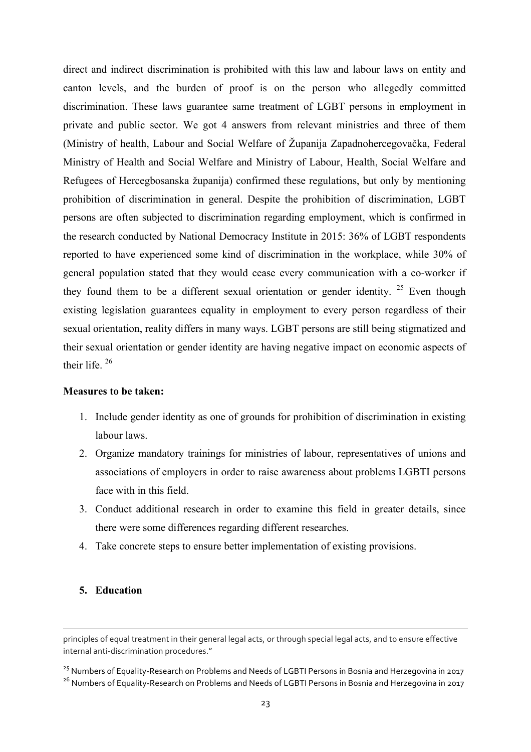direct and indirect discrimination is prohibited with this law and labour laws on entity and canton levels, and the burden of proof is on the person who allegedly committed discrimination. These laws guarantee same treatment of LGBT persons in employment in private and public sector. We got 4 answers from relevant ministries and three of them (Ministry of health, Labour and Social Welfare of Županija Zapadnohercegovačka, Federal Ministry of Health and Social Welfare and Ministry of Labour, Health, Social Welfare and Refugees of Hercegbosanska županija) confirmed these regulations, but only by mentioning prohibition of discrimination in general. Despite the prohibition of discrimination, LGBT persons are often subjected to discrimination regarding employment, which is confirmed in the research conducted by National Democracy Institute in 2015: 36% of LGBT respondents reported to have experienced some kind of discrimination in the workplace, while 30% of general population stated that they would cease every communication with a co-worker if they found them to be a different sexual orientation or gender identity.  $25$  Even though existing legislation guarantees equality in employment to every person regardless of their sexual orientation, reality differs in many ways. LGBT persons are still being stigmatized and their sexual orientation or gender identity are having negative impact on economic aspects of their life. <sup>26</sup>

### **Measures to be taken:**

- 1. Include gender identity as one of grounds for prohibition of discrimination in existing labour laws.
- 2. Organize mandatory trainings for ministries of labour, representatives of unions and associations of employers in order to raise awareness about problems LGBTI persons face with in this field.
- 3. Conduct additional research in order to examine this field in greater details, since there were some differences regarding different researches.
- 4. Take concrete steps to ensure better implementation of existing provisions.

### **5. Education**

<u> 1989 - Andrea Santa Andrea Andrea Andrea Andrea Andrea Andrea Andrea Andrea Andrea Andrea Andrea Andrea Andr</u>

principles of equal treatment in their general legal acts, or through special legal acts, and to ensure effective internal anti-discrimination procedures."

<sup>&</sup>lt;sup>25</sup> Numbers of Equality-Research on Problems and Needs of LGBTI Persons in Bosnia and Herzegovina in 2017 <sup>26</sup> Numbers of Equality-Research on Problems and Needs of LGBTI Persons in Bosnia and Herzegovina in 2017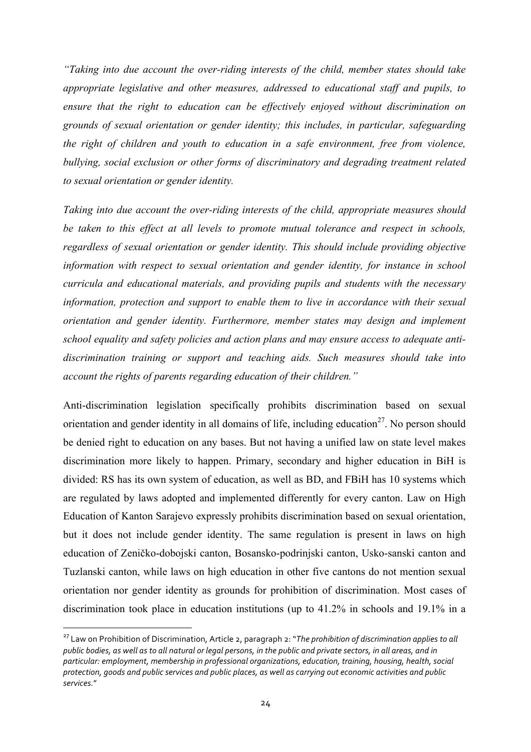*"Taking into due account the over-riding interests of the child, member states should take appropriate legislative and other measures, addressed to educational staff and pupils, to ensure that the right to education can be effectively enjoyed without discrimination on grounds of sexual orientation or gender identity; this includes, in particular, safeguarding the right of children and youth to education in a safe environment, free from violence, bullying, social exclusion or other forms of discriminatory and degrading treatment related to sexual orientation or gender identity.*

*Taking into due account the over-riding interests of the child, appropriate measures should be taken to this effect at all levels to promote mutual tolerance and respect in schools, regardless of sexual orientation or gender identity. This should include providing objective information with respect to sexual orientation and gender identity, for instance in school curricula and educational materials, and providing pupils and students with the necessary information, protection and support to enable them to live in accordance with their sexual orientation and gender identity. Furthermore, member states may design and implement school equality and safety policies and action plans and may ensure access to adequate antidiscrimination training or support and teaching aids. Such measures should take into account the rights of parents regarding education of their children."*

Anti-discrimination legislation specifically prohibits discrimination based on sexual orientation and gender identity in all domains of life, including education<sup>27</sup>. No person should be denied right to education on any bases. But not having a unified law on state level makes discrimination more likely to happen. Primary, secondary and higher education in BiH is divided: RS has its own system of education, as well as BD, and FBiH has 10 systems which are regulated by laws adopted and implemented differently for every canton. Law on High Education of Kanton Sarajevo expressly prohibits discrimination based on sexual orientation, but it does not include gender identity. The same regulation is present in laws on high education of Zeničko-dobojski canton, Bosansko-podrinjski canton, Usko-sanski canton and Tuzlanski canton, while laws on high education in other five cantons do not mention sexual orientation nor gender identity as grounds for prohibition of discrimination. Most cases of discrimination took place in education institutions (up to 41.2% in schools and 19.1% in a

<u> 1989 - Jan Samuel Barbara, margaret e</u>

<sup>&</sup>lt;sup>27</sup> Law on Prohibition of Discrimination, Article 2, paragraph 2: "The prohibition of discrimination applies to all public bodies, as well as to all natural or legal persons, in the public and private sectors, in all areas, and in particular: employment, membership in professional organizations, education, training, housing, health, social *protection, goods and public services and public places, as well as carrying out economic activities and public services.*"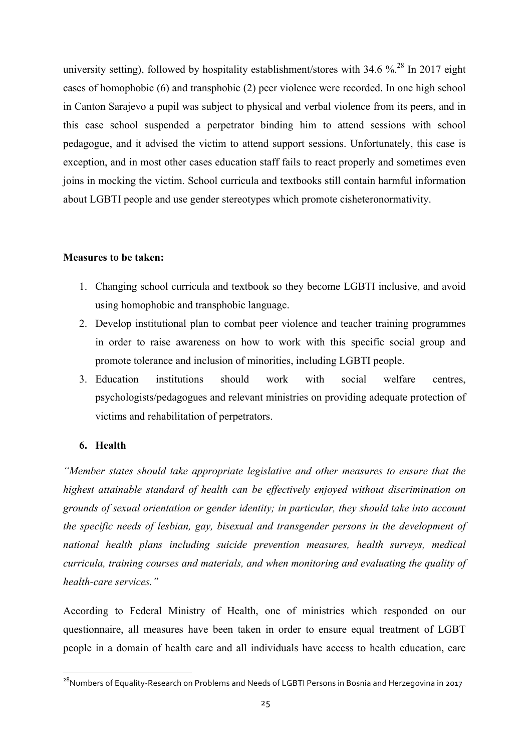university setting), followed by hospitality establishment/stores with 34.6 %.<sup>28</sup> In 2017 eight cases of homophobic (6) and transphobic (2) peer violence were recorded. In one high school in Canton Sarajevo a pupil was subject to physical and verbal violence from its peers, and in this case school suspended a perpetrator binding him to attend sessions with school pedagogue, and it advised the victim to attend support sessions. Unfortunately, this case is exception, and in most other cases education staff fails to react properly and sometimes even joins in mocking the victim. School curricula and textbooks still contain harmful information about LGBTI people and use gender stereotypes which promote cisheteronormativity.

### **Measures to be taken:**

- 1. Changing school curricula and textbook so they become LGBTI inclusive, and avoid using homophobic and transphobic language.
- 2. Develop institutional plan to combat peer violence and teacher training programmes in order to raise awareness on how to work with this specific social group and promote tolerance and inclusion of minorities, including LGBTI people.
- 3. Education institutions should work with social welfare centres, psychologists/pedagogues and relevant ministries on providing adequate protection of victims and rehabilitation of perpetrators.

# **6. Health**

<u> 1989 - Johann Barn, mars ann an t-Amhain an t-Amhain an t-Amhain an t-Amhain an t-Amhain an t-Amhain an t-Amh</u>

*"Member states should take appropriate legislative and other measures to ensure that the highest attainable standard of health can be effectively enjoyed without discrimination on grounds of sexual orientation or gender identity; in particular, they should take into account the specific needs of lesbian, gay, bisexual and transgender persons in the development of national health plans including suicide prevention measures, health surveys, medical curricula, training courses and materials, and when monitoring and evaluating the quality of health-care services."*

According to Federal Ministry of Health, one of ministries which responded on our questionnaire, all measures have been taken in order to ensure equal treatment of LGBT people in a domain of health care and all individuals have access to health education, care

<sup>&</sup>lt;sup>28</sup>Numbers of Equality-Research on Problems and Needs of LGBTI Persons in Bosnia and Herzegovina in 2017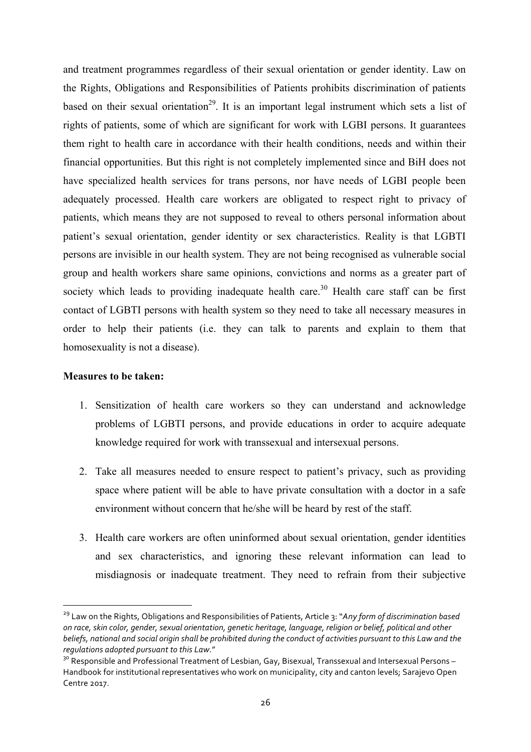and treatment programmes regardless of their sexual orientation or gender identity. Law on the Rights, Obligations and Responsibilities of Patients prohibits discrimination of patients based on their sexual orientation<sup>29</sup>. It is an important legal instrument which sets a list of rights of patients, some of which are significant for work with LGBI persons. It guarantees them right to health care in accordance with their health conditions, needs and within their financial opportunities. But this right is not completely implemented since and BiH does not have specialized health services for trans persons, nor have needs of LGBI people been adequately processed. Health care workers are obligated to respect right to privacy of patients, which means they are not supposed to reveal to others personal information about patient's sexual orientation, gender identity or sex characteristics. Reality is that LGBTI persons are invisible in our health system. They are not being recognised as vulnerable social group and health workers share same opinions, convictions and norms as a greater part of society which leads to providing inadequate health care.<sup>30</sup> Health care staff can be first contact of LGBTI persons with health system so they need to take all necessary measures in order to help their patients (i.e. they can talk to parents and explain to them that homosexuality is not a disease).

# **Measures to be taken:**

<u> 1989 - Johann Barn, mars ann an t-Amhain an t-Amhain an t-Amhain an t-Amhain an t-Amhain an t-Amhain an t-Amh</u>

- 1. Sensitization of health care workers so they can understand and acknowledge problems of LGBTI persons, and provide educations in order to acquire adequate knowledge required for work with transsexual and intersexual persons.
- 2. Take all measures needed to ensure respect to patient's privacy, such as providing space where patient will be able to have private consultation with a doctor in a safe environment without concern that he/she will be heard by rest of the staff.
- 3. Health care workers are often uninformed about sexual orientation, gender identities and sex characteristics, and ignoring these relevant information can lead to misdiagnosis or inadequate treatment. They need to refrain from their subjective

<sup>&</sup>lt;sup>29</sup> Law on the Rights, Obligations and Responsibilities of Patients, Article 3: "Any form of discrimination based on race, skin color, gender, sexual orientation, genetic heritage, language, religion or belief, political and other beliefs, national and social origin shall be prohibited during the conduct of activities pursuant to this Law and the regulations adopted pursuant to this Law."

<sup>&</sup>lt;sup>30</sup> Responsible and Professional Treatment of Lesbian, Gay, Bisexual, Transsexual and Intersexual Persons – Handbook for institutional representatives who work on municipality, city and canton levels; Sarajevo Open Centre 2017.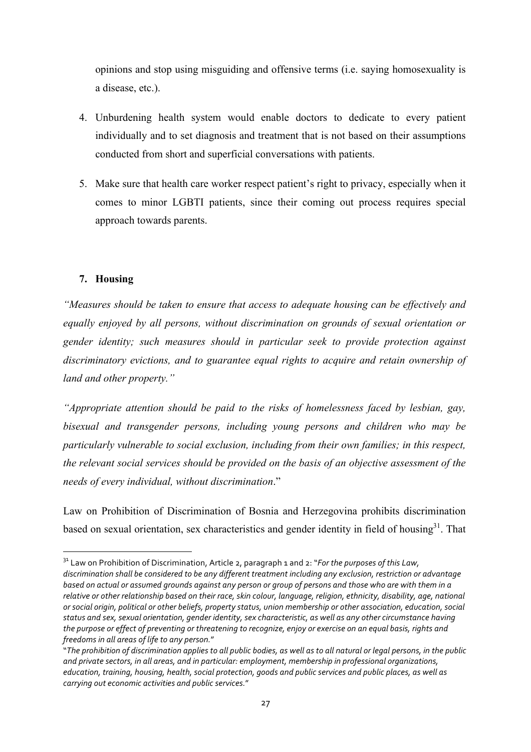opinions and stop using misguiding and offensive terms (i.e. saying homosexuality is a disease, etc.).

- 4. Unburdening health system would enable doctors to dedicate to every patient individually and to set diagnosis and treatment that is not based on their assumptions conducted from short and superficial conversations with patients.
- 5. Make sure that health care worker respect patient's right to privacy, especially when it comes to minor LGBTI patients, since their coming out process requires special approach towards parents.

# **7. Housing**

<u> 1989 - Jan Samuel Barbara, margaret e</u>

*"Measures should be taken to ensure that access to adequate housing can be effectively and equally enjoyed by all persons, without discrimination on grounds of sexual orientation or gender identity; such measures should in particular seek to provide protection against discriminatory evictions, and to guarantee equal rights to acquire and retain ownership of land and other property."*

*"Appropriate attention should be paid to the risks of homelessness faced by lesbian, gay, bisexual and transgender persons, including young persons and children who may be particularly vulnerable to social exclusion, including from their own families; in this respect, the relevant social services should be provided on the basis of an objective assessment of the needs of every individual, without discrimination*."

Law on Prohibition of Discrimination of Bosnia and Herzegovina prohibits discrimination based on sexual orientation, sex characteristics and gender identity in field of housing<sup>31</sup>. That

<sup>&</sup>lt;sup>31</sup> Law on Prohibition of Discrimination, Article 2, paragraph 1 and 2: "*For the purposes of this Law*, discrimination shall be considered to be any different treatment including any exclusion, restriction or advantage *based* on actual or assumed grounds against any person or group of persons and those who are with them in a relative or other relationship based on their race, skin colour, language, religion, ethnicity, disability, age, national or social origin, political or other beliefs, property status, union membership or other association, education, social status and sex, sexual orientation, gender identity, sex characteristic, as well as any other circumstance having the purpose or effect of preventing or threatening to recognize, enjoy or exercise on an equal basis, rights and *freedoms in all areas of life to any person."* 

<sup>&</sup>quot;The prohibition of discrimination applies to all public bodies, as well as to all natural or legal persons, in the public and private sectors, in all areas, and in particular: employment, membership in professional organizations, education, training, housing, health, social protection, goods and public services and public places, as well as *carrying out economic activities and public services."*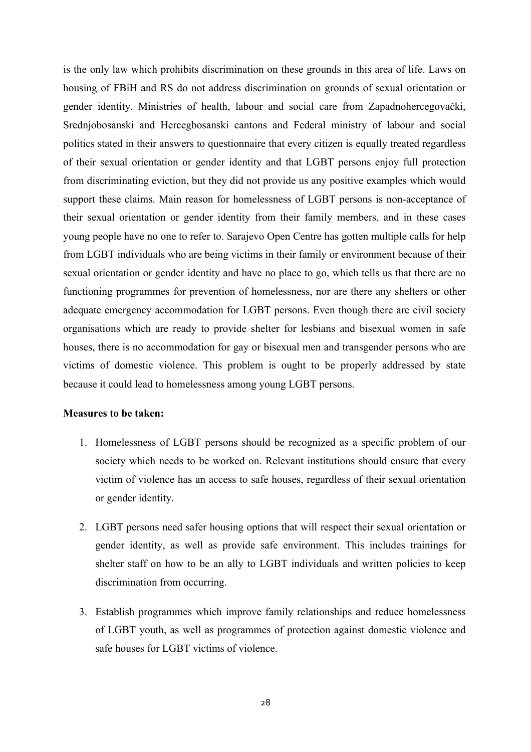is the only law which prohibits discrimination on these grounds in this area of life. Laws on housing of FBiH and RS do not address discrimination on grounds of sexual orientation or gender identity. Ministries of health, labour and social care from Zapadnohercegovački, Srednjobosanski and Hercegbosanski cantons and Federal ministry of labour and social politics stated in their answers to questionnaire that every citizen is equally treated regardless of their sexual orientation or gender identity and that LGBT persons enjoy full protection from discriminating eviction, but they did not provide us any positive examples which would support these claims. Main reason for homelessness of LGBT persons is non-acceptance of their sexual orientation or gender identity from their family members, and in these cases young people have no one to refer to. Sarajevo Open Centre has gotten multiple calls for help from LGBT individuals who are being victims in their family or environment because of their sexual orientation or gender identity and have no place to go, which tells us that there are no functioning programmes for prevention of homelessness, nor are there any shelters or other adequate emergency accommodation for LGBT persons. Even though there are civil society organisations which are ready to provide shelter for lesbians and bisexual women in safe houses, there is no accommodation for gay or bisexual men and transgender persons who are victims of domestic violence. This problem is ought to be properly addressed by state because it could lead to homelessness among young LGBT persons.

### **Measures to be taken:**

- 1. Homelessness of LGBT persons should be recognized as a specific problem of our society which needs to be worked on. Relevant institutions should ensure that every victim of violence has an access to safe houses, regardless of their sexual orientation or gender identity.
- 2. LGBT persons need safer housing options that will respect their sexual orientation or gender identity, as well as provide safe environment. This includes trainings for shelter staff on how to be an ally to LGBT individuals and written policies to keep discrimination from occurring.
- 3. Establish programmes which improve family relationships and reduce homelessness of LGBT youth, as well as programmes of protection against domestic violence and safe houses for LGBT victims of violence.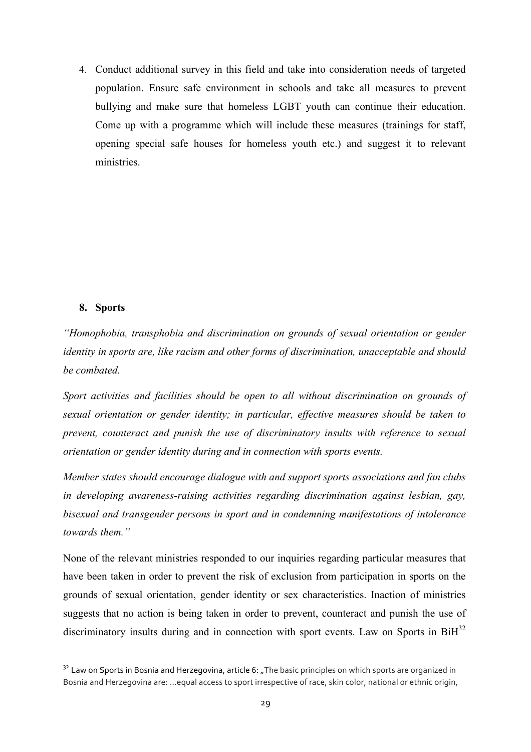4. Conduct additional survey in this field and take into consideration needs of targeted population. Ensure safe environment in schools and take all measures to prevent bullying and make sure that homeless LGBT youth can continue their education. Come up with a programme which will include these measures (trainings for staff, opening special safe houses for homeless youth etc.) and suggest it to relevant ministries.

### **8. Sports**

<u> 1989 - Jan Samuel Barbara, margaret e</u>

*"Homophobia, transphobia and discrimination on grounds of sexual orientation or gender identity in sports are, like racism and other forms of discrimination, unacceptable and should be combated.*

*Sport activities and facilities should be open to all without discrimination on grounds of sexual orientation or gender identity; in particular, effective measures should be taken to prevent, counteract and punish the use of discriminatory insults with reference to sexual orientation or gender identity during and in connection with sports events.*

*Member states should encourage dialogue with and support sports associations and fan clubs in developing awareness-raising activities regarding discrimination against lesbian, gay, bisexual and transgender persons in sport and in condemning manifestations of intolerance towards them."*

None of the relevant ministries responded to our inquiries regarding particular measures that have been taken in order to prevent the risk of exclusion from participation in sports on the grounds of sexual orientation, gender identity or sex characteristics. Inaction of ministries suggests that no action is being taken in order to prevent, counteract and punish the use of discriminatory insults during and in connection with sport events. Law on Sports in  $BiH<sup>32</sup>$ 

 $32$  Law on Sports in Bosnia and Herzegovina, article 6: "The basic principles on which sports are organized in Bosnia and Herzegovina are: ...equal access to sport irrespective of race, skin color, national or ethnic origin,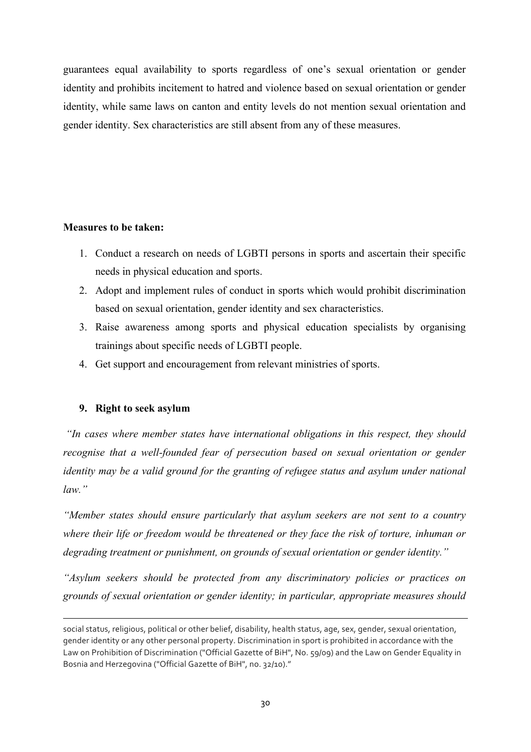guarantees equal availability to sports regardless of one's sexual orientation or gender identity and prohibits incitement to hatred and violence based on sexual orientation or gender identity, while same laws on canton and entity levels do not mention sexual orientation and gender identity. Sex characteristics are still absent from any of these measures.

### **Measures to be taken:**

- 1. Conduct a research on needs of LGBTI persons in sports and ascertain their specific needs in physical education and sports.
- 2. Adopt and implement rules of conduct in sports which would prohibit discrimination based on sexual orientation, gender identity and sex characteristics.
- 3. Raise awareness among sports and physical education specialists by organising trainings about specific needs of LGBTI people.
- 4. Get support and encouragement from relevant ministries of sports.

# **9. Right to seek asylum**

*"In cases where member states have international obligations in this respect, they should recognise that a well-founded fear of persecution based on sexual orientation or gender identity may be a valid ground for the granting of refugee status and asylum under national law."*

*"Member states should ensure particularly that asylum seekers are not sent to a country where their life or freedom would be threatened or they face the risk of torture, inhuman or degrading treatment or punishment, on grounds of sexual orientation or gender identity."*

*"Asylum seekers should be protected from any discriminatory policies or practices on grounds of sexual orientation or gender identity; in particular, appropriate measures should* 

<u> 1989 - Andrea Santa Andrea Andrea Andrea Andrea Andrea Andrea Andrea Andrea Andrea Andrea Andrea Andrea Andr</u>

social status, religious, political or other belief, disability, health status, age, sex, gender, sexual orientation, gender identity or any other personal property. Discrimination in sport is prohibited in accordance with the Law on Prohibition of Discrimination ("Official Gazette of BiH", No. 59/09) and the Law on Gender Equality in Bosnia and Herzegovina ("Official Gazette of BiH", no. 32/10)."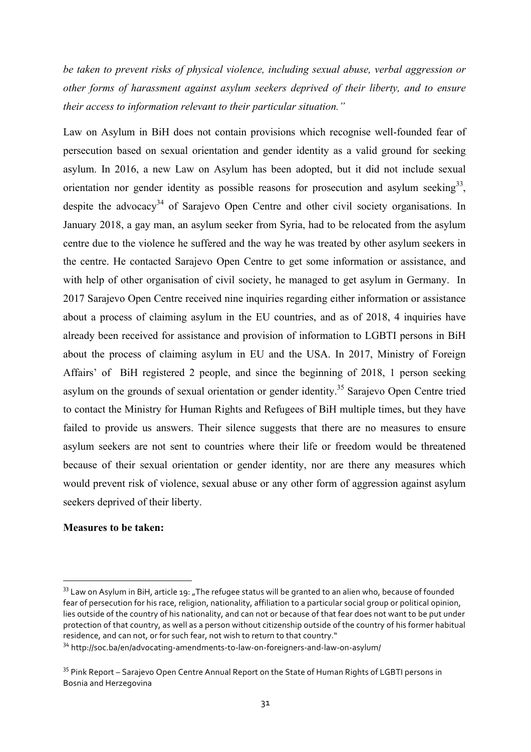*be taken to prevent risks of physical violence, including sexual abuse, verbal aggression or other forms of harassment against asylum seekers deprived of their liberty, and to ensure their access to information relevant to their particular situation."*

Law on Asylum in BiH does not contain provisions which recognise well-founded fear of persecution based on sexual orientation and gender identity as a valid ground for seeking asylum. In 2016, a new Law on Asylum has been adopted, but it did not include sexual orientation nor gender identity as possible reasons for prosecution and asylum seeking<sup>33</sup>, despite the advocacy<sup>34</sup> of Sarajevo Open Centre and other civil society organisations. In January 2018, a gay man, an asylum seeker from Syria, had to be relocated from the asylum centre due to the violence he suffered and the way he was treated by other asylum seekers in the centre. He contacted Sarajevo Open Centre to get some information or assistance, and with help of other organisation of civil society, he managed to get asylum in Germany. In 2017 Sarajevo Open Centre received nine inquiries regarding either information or assistance about a process of claiming asylum in the EU countries, and as of 2018, 4 inquiries have already been received for assistance and provision of information to LGBTI persons in BiH about the process of claiming asylum in EU and the USA. In 2017, Ministry of Foreign Affairs' of BiH registered 2 people, and since the beginning of 2018, 1 person seeking asylum on the grounds of sexual orientation or gender identity.<sup>35</sup> Sarajevo Open Centre tried to contact the Ministry for Human Rights and Refugees of BiH multiple times, but they have failed to provide us answers. Their silence suggests that there are no measures to ensure asylum seekers are not sent to countries where their life or freedom would be threatened because of their sexual orientation or gender identity, nor are there any measures which would prevent risk of violence, sexual abuse or any other form of aggression against asylum seekers deprived of their liberty.

#### **Measures to be taken:**

<u> 1989 - Johann Barn, mars ann an t-Amhain an t-Amhain an t-Amhain an t-Amhain an t-Amhain an t-Amhain an t-Amh</u>

 $33$  Law on Asylum in BiH, article 19: ..The refugee status will be granted to an alien who, because of founded fear of persecution for his race, religion, nationality, affiliation to a particular social group or political opinion, lies outside of the country of his nationality, and can not or because of that fear does not want to be put under protection of that country, as well as a person without citizenship outside of the country of his former habitual residence, and can not, or for such fear, not wish to return to that country."

<sup>&</sup>lt;sup>34</sup> http://soc.ba/en/advocating-amendments-to-law-on-foreigners-and-law-on-asylum/

 $35$  Pink Report – Sarajevo Open Centre Annual Report on the State of Human Rights of LGBTI persons in Bosnia and Herzegovina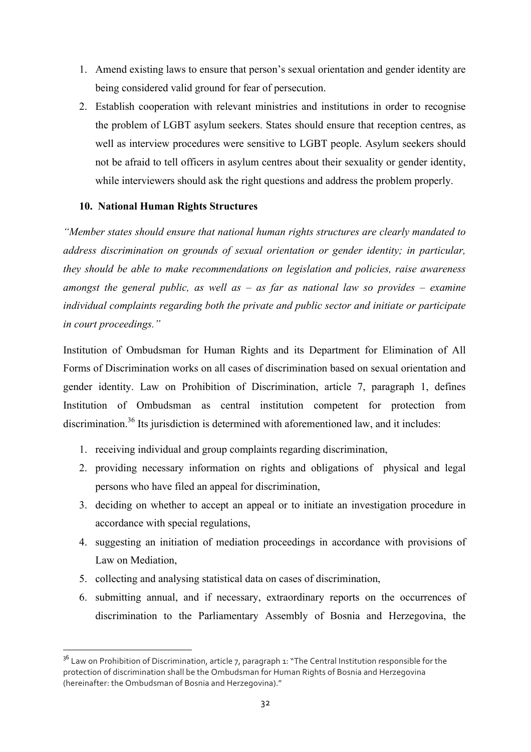- 1. Amend existing laws to ensure that person's sexual orientation and gender identity are being considered valid ground for fear of persecution.
- 2. Establish cooperation with relevant ministries and institutions in order to recognise the problem of LGBT asylum seekers. States should ensure that reception centres, as well as interview procedures were sensitive to LGBT people. Asylum seekers should not be afraid to tell officers in asylum centres about their sexuality or gender identity, while interviewers should ask the right questions and address the problem properly.

# **10. National Human Rights Structures**

*"Member states should ensure that national human rights structures are clearly mandated to address discrimination on grounds of sexual orientation or gender identity; in particular, they should be able to make recommendations on legislation and policies, raise awareness amongst the general public, as well as – as far as national law so provides – examine individual complaints regarding both the private and public sector and initiate or participate in court proceedings."*

Institution of Ombudsman for Human Rights and its Department for Elimination of All Forms of Discrimination works on all cases of discrimination based on sexual orientation and gender identity. Law on Prohibition of Discrimination, article 7, paragraph 1, defines Institution of Ombudsman as central institution competent for protection from discrimination.<sup>36</sup> Its jurisdiction is determined with aforementioned law, and it includes:

- 1. receiving individual and group complaints regarding discrimination,
- 2. providing necessary information on rights and obligations of physical and legal persons who have filed an appeal for discrimination,
- 3. deciding on whether to accept an appeal or to initiate an investigation procedure in accordance with special regulations,
- 4. suggesting an initiation of mediation proceedings in accordance with provisions of Law on Mediation,
- 5. collecting and analysing statistical data on cases of discrimination,

<u> 1989 - Jan Samuel Barbara, margaret e</u>

6. submitting annual, and if necessary, extraordinary reports on the occurrences of discrimination to the Parliamentary Assembly of Bosnia and Herzegovina, the

 $36$  Law on Prohibition of Discrimination, article 7, paragraph 1: "The Central Institution responsible for the protection of discrimination shall be the Ombudsman for Human Rights of Bosnia and Herzegovina (hereinafter: the Ombudsman of Bosnia and Herzegovina)."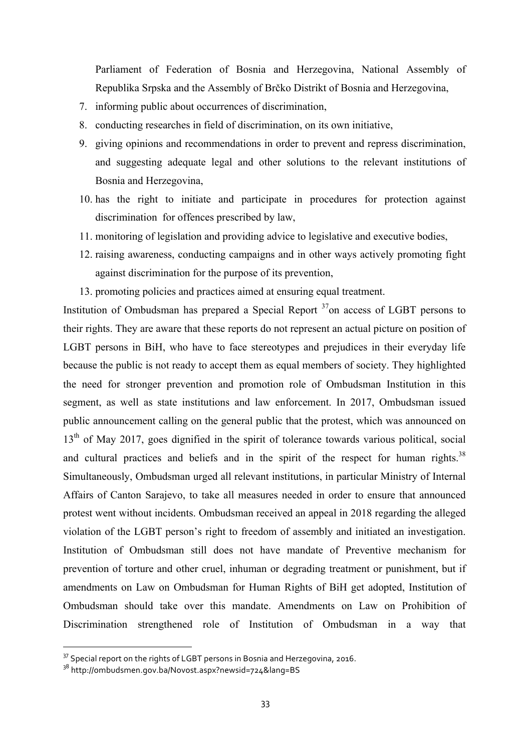Parliament of Federation of Bosnia and Herzegovina, National Assembly of Republika Srpska and the Assembly of Brčko Distrikt of Bosnia and Herzegovina,

- 7. informing public about occurrences of discrimination,
- 8. conducting researches in field of discrimination, on its own initiative,
- 9. giving opinions and recommendations in order to prevent and repress discrimination, and suggesting adequate legal and other solutions to the relevant institutions of Bosnia and Herzegovina,
- 10. has the right to initiate and participate in procedures for protection against discrimination for offences prescribed by law,
- 11. monitoring of legislation and providing advice to legislative and executive bodies,
- 12. raising awareness, conducting campaigns and in other ways actively promoting fight against discrimination for the purpose of its prevention,
- 13. promoting policies and practices aimed at ensuring equal treatment.

Institution of Ombudsman has prepared a Special Report  $37$  on access of LGBT persons to their rights. They are aware that these reports do not represent an actual picture on position of LGBT persons in BiH, who have to face stereotypes and prejudices in their everyday life because the public is not ready to accept them as equal members of society. They highlighted the need for stronger prevention and promotion role of Ombudsman Institution in this segment, as well as state institutions and law enforcement. In 2017, Ombudsman issued public announcement calling on the general public that the protest, which was announced on 13<sup>th</sup> of May 2017, goes dignified in the spirit of tolerance towards various political, social and cultural practices and beliefs and in the spirit of the respect for human rights.<sup>38</sup> Simultaneously, Ombudsman urged all relevant institutions, in particular Ministry of Internal Affairs of Canton Sarajevo, to take all measures needed in order to ensure that announced protest went without incidents. Ombudsman received an appeal in 2018 regarding the alleged violation of the LGBT person's right to freedom of assembly and initiated an investigation. Institution of Ombudsman still does not have mandate of Preventive mechanism for prevention of torture and other cruel, inhuman or degrading treatment or punishment, but if amendments on Law on Ombudsman for Human Rights of BiH get adopted, Institution of Ombudsman should take over this mandate. Amendments on Law on Prohibition of Discrimination strengthened role of Institution of Ombudsman in a way that

<u> 1989 - Jan Samuel Barbara, margaret e</u>

 $37$  Special report on the rights of LGBT persons in Bosnia and Herzegovina, 2016.

<sup>38</sup> http://ombudsmen.gov.ba/Novost.aspx?newsid=724&lang=BS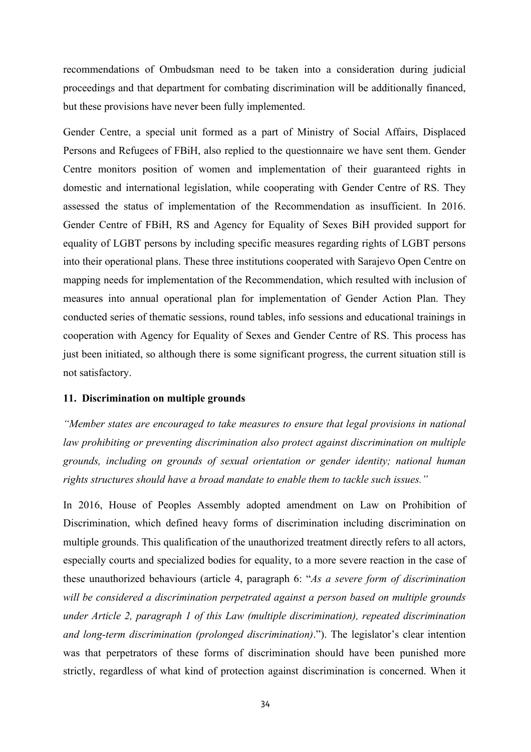recommendations of Ombudsman need to be taken into a consideration during judicial proceedings and that department for combating discrimination will be additionally financed, but these provisions have never been fully implemented.

Gender Centre, a special unit formed as a part of Ministry of Social Affairs, Displaced Persons and Refugees of FBiH, also replied to the questionnaire we have sent them. Gender Centre monitors position of women and implementation of their guaranteed rights in domestic and international legislation, while cooperating with Gender Centre of RS. They assessed the status of implementation of the Recommendation as insufficient. In 2016. Gender Centre of FBiH, RS and Agency for Equality of Sexes BiH provided support for equality of LGBT persons by including specific measures regarding rights of LGBT persons into their operational plans. These three institutions cooperated with Sarajevo Open Centre on mapping needs for implementation of the Recommendation, which resulted with inclusion of measures into annual operational plan for implementation of Gender Action Plan. They conducted series of thematic sessions, round tables, info sessions and educational trainings in cooperation with Agency for Equality of Sexes and Gender Centre of RS. This process has just been initiated, so although there is some significant progress, the current situation still is not satisfactory.

#### **11. Discrimination on multiple grounds**

*"Member states are encouraged to take measures to ensure that legal provisions in national law prohibiting or preventing discrimination also protect against discrimination on multiple grounds, including on grounds of sexual orientation or gender identity; national human rights structures should have a broad mandate to enable them to tackle such issues."*

In 2016, House of Peoples Assembly adopted amendment on Law on Prohibition of Discrimination, which defined heavy forms of discrimination including discrimination on multiple grounds. This qualification of the unauthorized treatment directly refers to all actors, especially courts and specialized bodies for equality, to a more severe reaction in the case of these unauthorized behaviours (article 4, paragraph 6: "*As a severe form of discrimination will be considered a discrimination perpetrated against a person based on multiple grounds under Article 2, paragraph 1 of this Law (multiple discrimination), repeated discrimination and long-term discrimination (prolonged discrimination)*."). The legislator's clear intention was that perpetrators of these forms of discrimination should have been punished more strictly, regardless of what kind of protection against discrimination is concerned. When it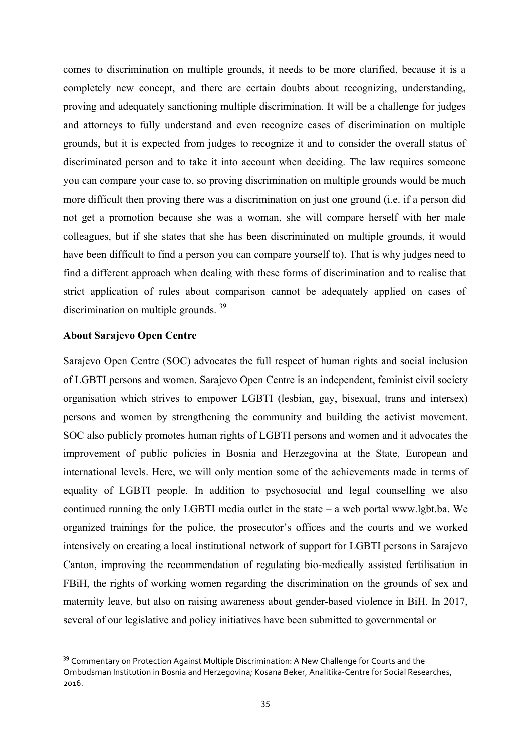comes to discrimination on multiple grounds, it needs to be more clarified, because it is a completely new concept, and there are certain doubts about recognizing, understanding, proving and adequately sanctioning multiple discrimination. It will be a challenge for judges and attorneys to fully understand and even recognize cases of discrimination on multiple grounds, but it is expected from judges to recognize it and to consider the overall status of discriminated person and to take it into account when deciding. The law requires someone you can compare your case to, so proving discrimination on multiple grounds would be much more difficult then proving there was a discrimination on just one ground (i.e. if a person did not get a promotion because she was a woman, she will compare herself with her male colleagues, but if she states that she has been discriminated on multiple grounds, it would have been difficult to find a person you can compare yourself to). That is why judges need to find a different approach when dealing with these forms of discrimination and to realise that strict application of rules about comparison cannot be adequately applied on cases of discrimination on multiple grounds.<sup>39</sup>

### **About Sarajevo Open Centre**

<u> 1989 - Jan Samuel Barbara, margaret e</u>

Sarajevo Open Centre (SOC) advocates the full respect of human rights and social inclusion of LGBTI persons and women. Sarajevo Open Centre is an independent, feminist civil society organisation which strives to empower LGBTI (lesbian, gay, bisexual, trans and intersex) persons and women by strengthening the community and building the activist movement. SOC also publicly promotes human rights of LGBTI persons and women and it advocates the improvement of public policies in Bosnia and Herzegovina at the State, European and international levels. Here, we will only mention some of the achievements made in terms of equality of LGBTI people. In addition to psychosocial and legal counselling we also continued running the only LGBTI media outlet in the state – a web portal www.lgbt.ba. We organized trainings for the police, the prosecutor's offices and the courts and we worked intensively on creating a local institutional network of support for LGBTI persons in Sarajevo Canton, improving the recommendation of regulating bio-medically assisted fertilisation in FBiH, the rights of working women regarding the discrimination on the grounds of sex and maternity leave, but also on raising awareness about gender-based violence in BiH. In 2017, several of our legislative and policy initiatives have been submitted to governmental or

<sup>&</sup>lt;sup>39</sup> Commentary on Protection Against Multiple Discrimination: A New Challenge for Courts and the Ombudsman Institution in Bosnia and Herzegovina: Kosana Beker, Analitika-Centre for Social Researches, 2016.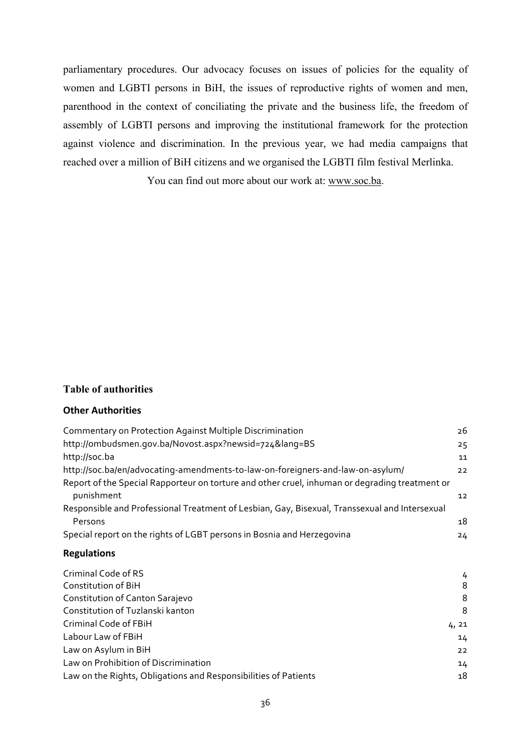parliamentary procedures. Our advocacy focuses on issues of policies for the equality of women and LGBTI persons in BiH, the issues of reproductive rights of women and men, parenthood in the context of conciliating the private and the business life, the freedom of assembly of LGBTI persons and improving the institutional framework for the protection against violence and discrimination. In the previous year, we had media campaigns that reached over a million of BiH citizens and we organised the LGBTI film festival Merlinka.

You can find out more about our work at: www.soc.ba.

### **Table of authorities**

# **Other Authorities**

| <b>Commentary on Protection Against Multiple Discrimination</b>                                              | 26 |
|--------------------------------------------------------------------------------------------------------------|----|
| http://ombudsmen.gov.ba/Novost.aspx?newsid=724⟨=BS                                                           | 25 |
| http://soc.ba                                                                                                | 11 |
| http://soc.ba/en/advocating-amendments-to-law-on-foreigners-and-law-on-asylum/                               | 22 |
| Report of the Special Rapporteur on torture and other cruel, inhuman or degrading treatment or<br>punishment | 12 |
| Responsible and Professional Treatment of Lesbian, Gay, Bisexual, Transsexual and Intersexual                |    |
| Persons                                                                                                      | 18 |
| Special report on the rights of LGBT persons in Bosnia and Herzegovina                                       | 24 |

# **Regulations**

| Criminal Code of RS                                             | 4     |
|-----------------------------------------------------------------|-------|
| Constitution of BiH                                             | 8     |
| Constitution of Canton Sarajevo                                 | 8     |
| Constitution of Tuzlanski kanton                                | 8     |
| Criminal Code of FBiH                                           | 4, 21 |
| Labour Law of FBiH                                              | 14    |
| Law on Asylum in BiH                                            | 22    |
| Law on Prohibition of Discrimination                            | 14    |
| Law on the Rights, Obligations and Responsibilities of Patients | 18    |